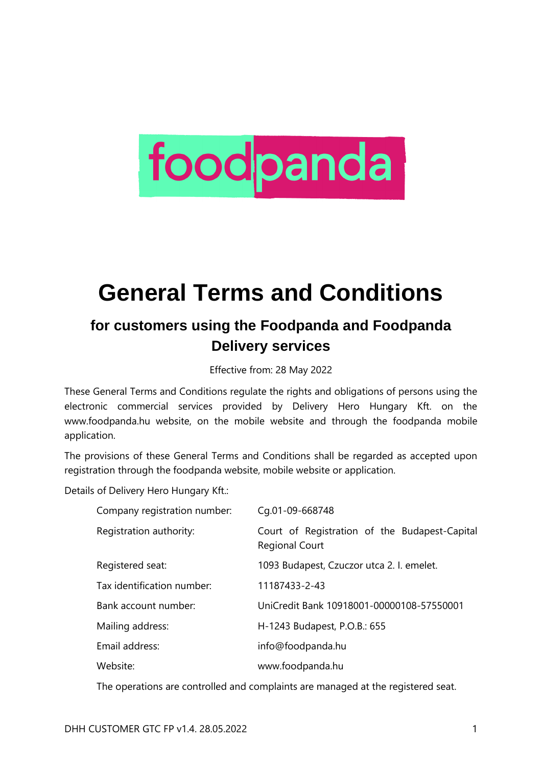# foodpanda

# **General Terms and Conditions**

# **for customers using the Foodpanda and Foodpanda Delivery services**

Effective from: 28 May 2022

These General Terms and Conditions regulate the rights and obligations of persons using the electronic commercial services provided by Delivery Hero Hungary Kft. on the www.foodpanda.hu website, on the mobile website and through the foodpanda mobile application.

The provisions of these General Terms and Conditions shall be regarded as accepted upon registration through the foodpanda website, mobile website or application.

Details of Delivery Hero Hungary Kft.:

| Company registration number: | Cg.01-09-668748                                                        |
|------------------------------|------------------------------------------------------------------------|
| Registration authority:      | Court of Registration of the Budapest-Capital<br><b>Regional Court</b> |
| Registered seat:             | 1093 Budapest, Czuczor utca 2. I. emelet.                              |
| Tax identification number:   | 11187433-2-43                                                          |
| Bank account number:         | UniCredit Bank 10918001-00000108-57550001                              |
| Mailing address:             | H-1243 Budapest, P.O.B.: 655                                           |
| Email address:               | info@foodpanda.hu                                                      |
| Website:                     | www.foodpanda.hu                                                       |

The operations are controlled and complaints are managed at the registered seat.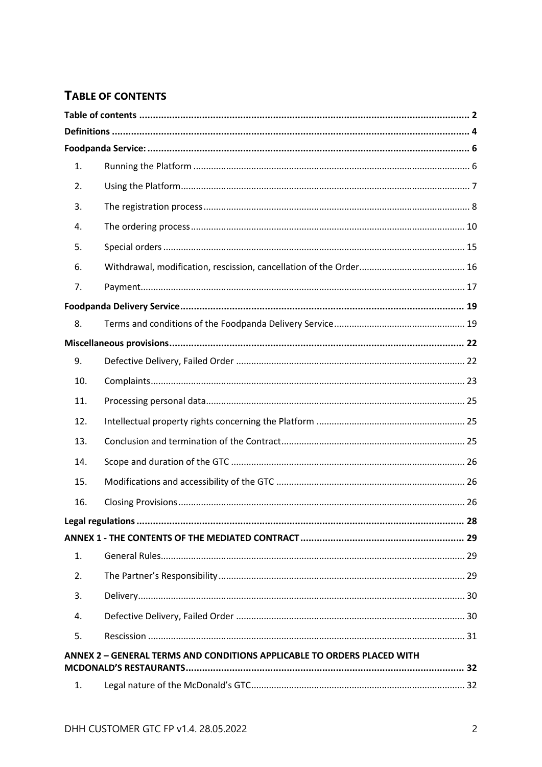#### <span id="page-1-0"></span>TABLE OF CONTENTS

| $\mathbf{1}$ .<br>2.<br>3.<br>4.<br>5.<br>6.<br>7.<br>8.<br>9.<br>10.<br>11.<br>12.<br>13.<br>14.<br>15.<br>16.<br>1.<br>2.<br>3.<br>4.<br>5.<br>ANNEX 2 - GENERAL TERMS AND CONDITIONS APPLICABLE TO ORDERS PLACED WITH |  |  |
|--------------------------------------------------------------------------------------------------------------------------------------------------------------------------------------------------------------------------|--|--|
|                                                                                                                                                                                                                          |  |  |
|                                                                                                                                                                                                                          |  |  |
|                                                                                                                                                                                                                          |  |  |
|                                                                                                                                                                                                                          |  |  |
|                                                                                                                                                                                                                          |  |  |
|                                                                                                                                                                                                                          |  |  |
|                                                                                                                                                                                                                          |  |  |
|                                                                                                                                                                                                                          |  |  |
|                                                                                                                                                                                                                          |  |  |
|                                                                                                                                                                                                                          |  |  |
|                                                                                                                                                                                                                          |  |  |
|                                                                                                                                                                                                                          |  |  |
|                                                                                                                                                                                                                          |  |  |
|                                                                                                                                                                                                                          |  |  |
|                                                                                                                                                                                                                          |  |  |
|                                                                                                                                                                                                                          |  |  |
|                                                                                                                                                                                                                          |  |  |
|                                                                                                                                                                                                                          |  |  |
|                                                                                                                                                                                                                          |  |  |
|                                                                                                                                                                                                                          |  |  |
|                                                                                                                                                                                                                          |  |  |
|                                                                                                                                                                                                                          |  |  |
|                                                                                                                                                                                                                          |  |  |
|                                                                                                                                                                                                                          |  |  |
|                                                                                                                                                                                                                          |  |  |
|                                                                                                                                                                                                                          |  |  |
|                                                                                                                                                                                                                          |  |  |
|                                                                                                                                                                                                                          |  |  |
| 1.                                                                                                                                                                                                                       |  |  |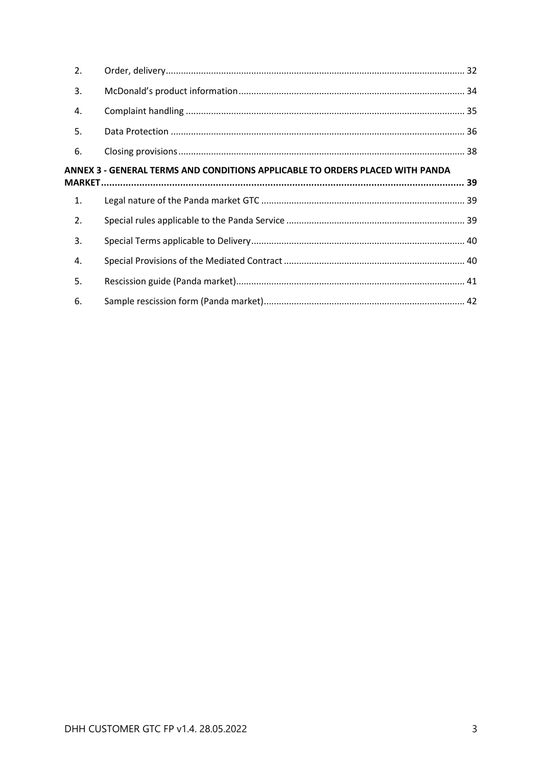| 2. |                                                                               |  |
|----|-------------------------------------------------------------------------------|--|
| 3. |                                                                               |  |
| 4. |                                                                               |  |
| 5. |                                                                               |  |
| 6. |                                                                               |  |
|    | ANNEX 3 - GENERAL TERMS AND CONDITIONS APPLICABLE TO ORDERS PLACED WITH PANDA |  |
|    |                                                                               |  |
|    |                                                                               |  |
| 1. |                                                                               |  |
| 2. |                                                                               |  |
| 3. |                                                                               |  |
| 4. |                                                                               |  |
| 5. |                                                                               |  |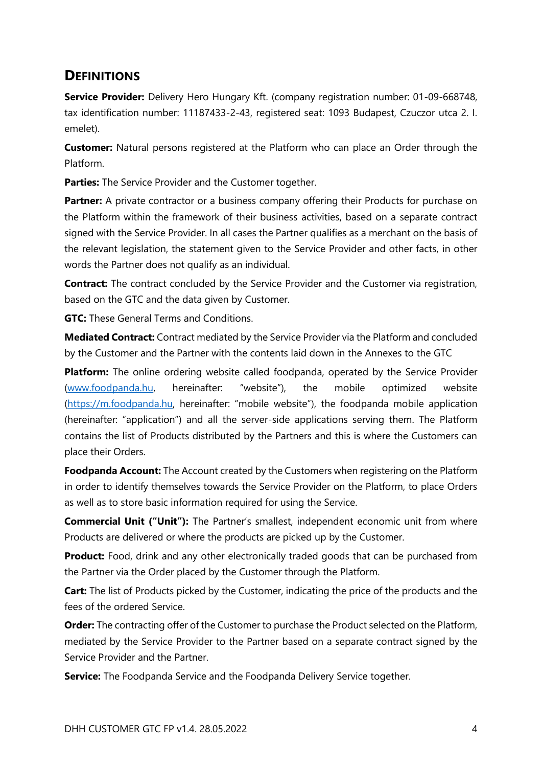# <span id="page-3-0"></span>**DEFINITIONS**

**Service Provider:** Delivery Hero Hungary Kft. (company registration number: 01-09-668748, tax identification number: 11187433-2-43, registered seat: 1093 Budapest, Czuczor utca 2. I. emelet).

**Customer:** Natural persons registered at the Platform who can place an Order through the Platform.

**Parties:** The Service Provider and the Customer together.

**Partner:** A private contractor or a business company offering their Products for purchase on the Platform within the framework of their business activities, based on a separate contract signed with the Service Provider. In all cases the Partner qualifies as a merchant on the basis of the relevant legislation, the statement given to the Service Provider and other facts, in other words the Partner does not qualify as an individual.

**Contract:** The contract concluded by the Service Provider and the Customer via registration, based on the GTC and the data given by Customer.

**GTC:** These General Terms and Conditions.

**Mediated Contract:** Contract mediated by the Service Provider via the Platform and concluded by the Customer and the Partner with the contents laid down in the Annexes to the GTC

**Platform:** The online ordering website called foodpanda, operated by the Service Provider [\(www.foodpanda.hu](http://www.foodpanda.hu/), hereinafter: "website"), the mobile optimized website [\(https://m.foodpanda.hu,](https://m.foodpanda.hu/) hereinafter: "mobile website"), the foodpanda mobile application (hereinafter: "application") and all the server-side applications serving them. The Platform contains the list of Products distributed by the Partners and this is where the Customers can place their Orders.

**Foodpanda Account:** The Account created by the Customers when registering on the Platform in order to identify themselves towards the Service Provider on the Platform, to place Orders as well as to store basic information required for using the Service.

**Commercial Unit ("Unit"):** The Partner's smallest, independent economic unit from where Products are delivered or where the products are picked up by the Customer.

**Product:** Food, drink and any other electronically traded goods that can be purchased from the Partner via the Order placed by the Customer through the Platform.

**Cart:** The list of Products picked by the Customer, indicating the price of the products and the fees of the ordered Service.

**Order:** The contracting offer of the Customer to purchase the Product selected on the Platform, mediated by the Service Provider to the Partner based on a separate contract signed by the Service Provider and the Partner.

**Service:** The Foodpanda Service and the Foodpanda Delivery Service together.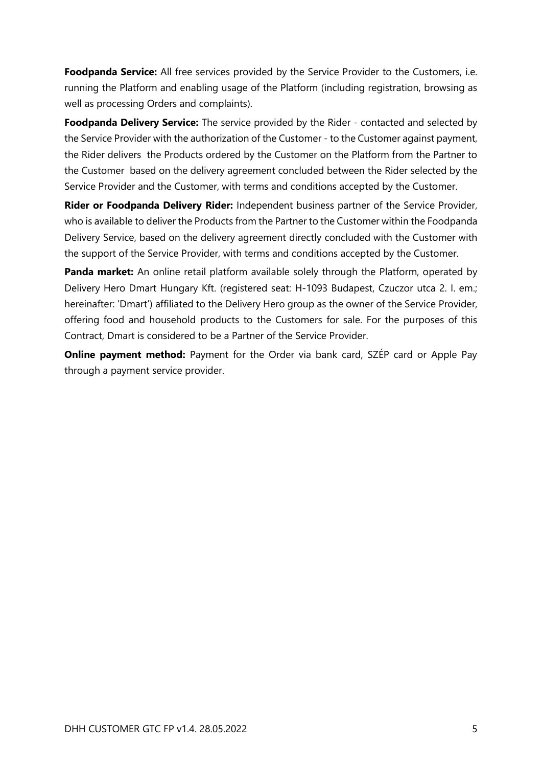**Foodpanda Service:** All free services provided by the Service Provider to the Customers, i.e. running the Platform and enabling usage of the Platform (including registration, browsing as well as processing Orders and complaints).

**Foodpanda Delivery Service:** The service provided by the Rider - contacted and selected by the Service Provider with the authorization of the Customer - to the Customer against payment, the Rider delivers the Products ordered by the Customer on the Platform from the Partner to the Customer based on the delivery agreement concluded between the Rider selected by the Service Provider and the Customer, with terms and conditions accepted by the Customer.

**Rider or Foodpanda Delivery Rider:** Independent business partner of the Service Provider, who is available to deliver the Products from the Partner to the Customer within the Foodpanda Delivery Service, based on the delivery agreement directly concluded with the Customer with the support of the Service Provider, with terms and conditions accepted by the Customer.

**Panda market:** An online retail platform available solely through the Platform, operated by Delivery Hero Dmart Hungary Kft. (registered seat: H-1093 Budapest, Czuczor utca 2. I. em.; hereinafter: 'Dmart') affiliated to the Delivery Hero group as the owner of the Service Provider, offering food and household products to the Customers for sale. For the purposes of this Contract, Dmart is considered to be a Partner of the Service Provider.

**Online payment method:** Payment for the Order via bank card, SZÉP card or Apple Pay through a payment service provider.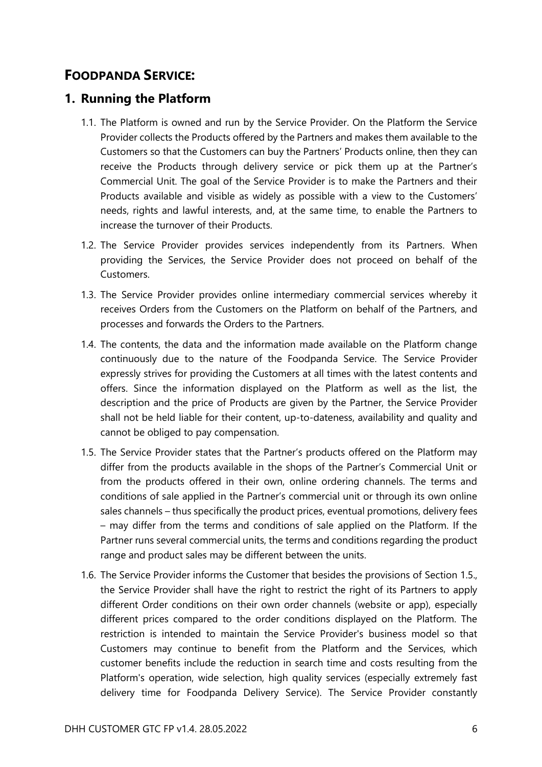# <span id="page-5-0"></span>**FOODPANDA SERVICE:**

#### <span id="page-5-1"></span>**1. Running the Platform**

- 1.1. The Platform is owned and run by the Service Provider. On the Platform the Service Provider collects the Products offered by the Partners and makes them available to the Customers so that the Customers can buy the Partners' Products online, then they can receive the Products through delivery service or pick them up at the Partner's Commercial Unit. The goal of the Service Provider is to make the Partners and their Products available and visible as widely as possible with a view to the Customers' needs, rights and lawful interests, and, at the same time, to enable the Partners to increase the turnover of their Products.
- 1.2. The Service Provider provides services independently from its Partners. When providing the Services, the Service Provider does not proceed on behalf of the Customers.
- 1.3. The Service Provider provides online intermediary commercial services whereby it receives Orders from the Customers on the Platform on behalf of the Partners, and processes and forwards the Orders to the Partners.
- 1.4. The contents, the data and the information made available on the Platform change continuously due to the nature of the Foodpanda Service. The Service Provider expressly strives for providing the Customers at all times with the latest contents and offers. Since the information displayed on the Platform as well as the list, the description and the price of Products are given by the Partner, the Service Provider shall not be held liable for their content, up-to-dateness, availability and quality and cannot be obliged to pay compensation.
- 1.5. The Service Provider states that the Partner's products offered on the Platform may differ from the products available in the shops of the Partner's Commercial Unit or from the products offered in their own, online ordering channels. The terms and conditions of sale applied in the Partner's commercial unit or through its own online sales channels – thus specifically the product prices, eventual promotions, delivery fees – may differ from the terms and conditions of sale applied on the Platform. If the Partner runs several commercial units, the terms and conditions regarding the product range and product sales may be different between the units.
- 1.6. The Service Provider informs the Customer that besides the provisions of Section 1.5., the Service Provider shall have the right to restrict the right of its Partners to apply different Order conditions on their own order channels (website or app), especially different prices compared to the order conditions displayed on the Platform. The restriction is intended to maintain the Service Provider's business model so that Customers may continue to benefit from the Platform and the Services, which customer benefits include the reduction in search time and costs resulting from the Platform's operation, wide selection, high quality services (especially extremely fast delivery time for Foodpanda Delivery Service). The Service Provider constantly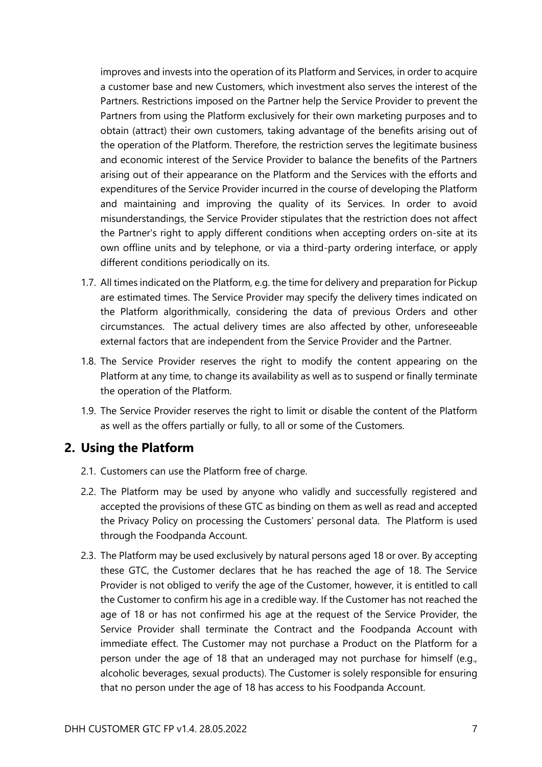improves and invests into the operation of its Platform and Services, in order to acquire a customer base and new Customers, which investment also serves the interest of the Partners. Restrictions imposed on the Partner help the Service Provider to prevent the Partners from using the Platform exclusively for their own marketing purposes and to obtain (attract) their own customers, taking advantage of the benefits arising out of the operation of the Platform. Therefore, the restriction serves the legitimate business and economic interest of the Service Provider to balance the benefits of the Partners arising out of their appearance on the Platform and the Services with the efforts and expenditures of the Service Provider incurred in the course of developing the Platform and maintaining and improving the quality of its Services. In order to avoid misunderstandings, the Service Provider stipulates that the restriction does not affect the Partner's right to apply different conditions when accepting orders on-site at its own offline units and by telephone, or via a third-party ordering interface, or apply different conditions periodically on its.

- 1.7. All times indicated on the Platform, e.g. the time for delivery and preparation for Pickup are estimated times. The Service Provider may specify the delivery times indicated on the Platform algorithmically, considering the data of previous Orders and other circumstances. The actual delivery times are also affected by other, unforeseeable external factors that are independent from the Service Provider and the Partner.
- 1.8. The Service Provider reserves the right to modify the content appearing on the Platform at any time, to change its availability as well as to suspend or finally terminate the operation of the Platform.
- 1.9. The Service Provider reserves the right to limit or disable the content of the Platform as well as the offers partially or fully, to all or some of the Customers.

#### <span id="page-6-0"></span>**2. Using the Platform**

- 2.1. Customers can use the Platform free of charge.
- 2.2. The Platform may be used by anyone who validly and successfully registered and accepted the provisions of these GTC as binding on them as well as read and accepted the Privacy Policy on processing the Customers' personal data. The Platform is used through the Foodpanda Account.
- 2.3. The Platform may be used exclusively by natural persons aged 18 or over. By accepting these GTC, the Customer declares that he has reached the age of 18. The Service Provider is not obliged to verify the age of the Customer, however, it is entitled to call the Customer to confirm his age in a credible way. If the Customer has not reached the age of 18 or has not confirmed his age at the request of the Service Provider, the Service Provider shall terminate the Contract and the Foodpanda Account with immediate effect. The Customer may not purchase a Product on the Platform for a person under the age of 18 that an underaged may not purchase for himself (e.g., alcoholic beverages, sexual products). The Customer is solely responsible for ensuring that no person under the age of 18 has access to his Foodpanda Account.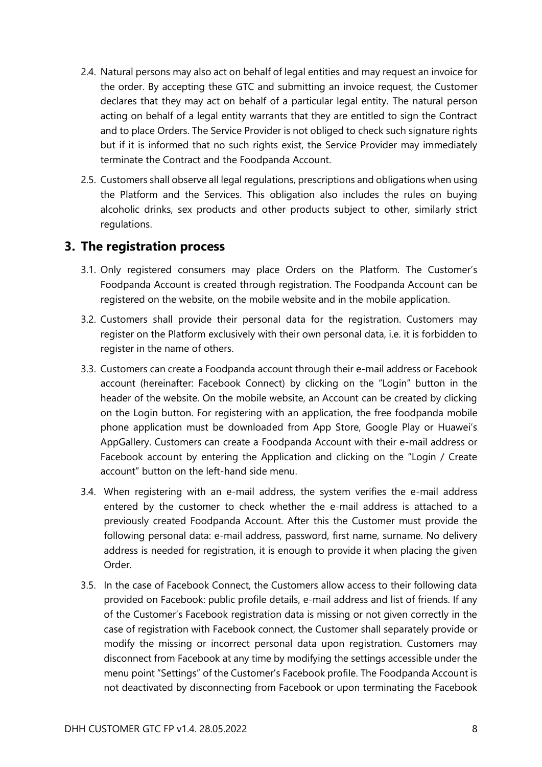- 2.4. Natural persons may also act on behalf of legal entities and may request an invoice for the order. By accepting these GTC and submitting an invoice request, the Customer declares that they may act on behalf of a particular legal entity. The natural person acting on behalf of a legal entity warrants that they are entitled to sign the Contract and to place Orders. The Service Provider is not obliged to check such signature rights but if it is informed that no such rights exist, the Service Provider may immediately terminate the Contract and the Foodpanda Account.
- 2.5. Customers shall observe all legal regulations, prescriptions and obligations when using the Platform and the Services. This obligation also includes the rules on buying alcoholic drinks, sex products and other products subject to other, similarly strict regulations.

#### <span id="page-7-0"></span>**3. The registration process**

- 3.1. Only registered consumers may place Orders on the Platform. The Customer's Foodpanda Account is created through registration. The Foodpanda Account can be registered on the website, on the mobile website and in the mobile application.
- 3.2. Customers shall provide their personal data for the registration. Customers may register on the Platform exclusively with their own personal data, i.e. it is forbidden to register in the name of others.
- 3.3. Customers can create a Foodpanda account through their e-mail address or Facebook account (hereinafter: Facebook Connect) by clicking on the "Login" button in the header of the website. On the mobile website, an Account can be created by clicking on the Login button. For registering with an application, the free foodpanda mobile phone application must be downloaded from App Store, Google Play or Huawei's AppGallery. Customers can create a Foodpanda Account with their e-mail address or Facebook account by entering the Application and clicking on the "Login / Create account" button on the left-hand side menu.
- 3.4. When registering with an e-mail address, the system verifies the e-mail address entered by the customer to check whether the e-mail address is attached to a previously created Foodpanda Account. After this the Customer must provide the following personal data: e-mail address, password, first name, surname. No delivery address is needed for registration, it is enough to provide it when placing the given Order.
- 3.5. In the case of Facebook Connect, the Customers allow access to their following data provided on Facebook: public profile details, e-mail address and list of friends. If any of the Customer's Facebook registration data is missing or not given correctly in the case of registration with Facebook connect, the Customer shall separately provide or modify the missing or incorrect personal data upon registration. Customers may disconnect from Facebook at any time by modifying the settings accessible under the menu point "Settings" of the Customer's Facebook profile. The Foodpanda Account is not deactivated by disconnecting from Facebook or upon terminating the Facebook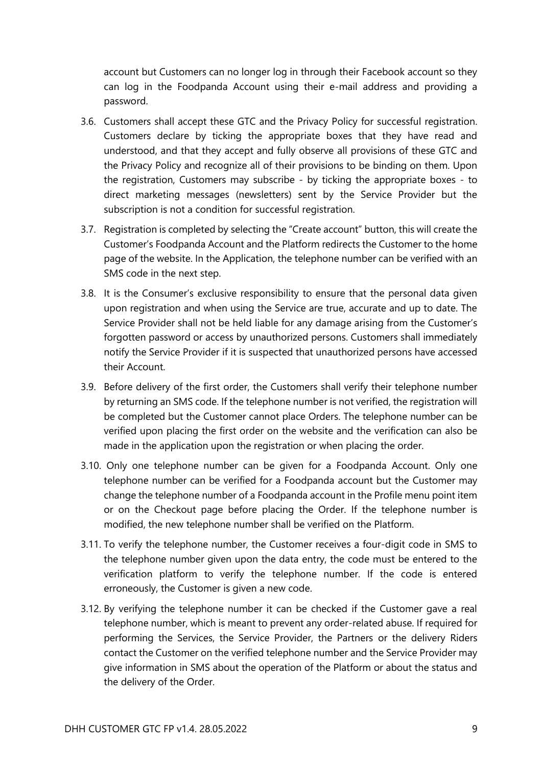account but Customers can no longer log in through their Facebook account so they can log in the Foodpanda Account using their e-mail address and providing a password.

- 3.6. Customers shall accept these GTC and the Privacy Policy for successful registration. Customers declare by ticking the appropriate boxes that they have read and understood, and that they accept and fully observe all provisions of these GTC and the Privacy Policy and recognize all of their provisions to be binding on them. Upon the registration, Customers may subscribe - by ticking the appropriate boxes - to direct marketing messages (newsletters) sent by the Service Provider but the subscription is not a condition for successful registration.
- 3.7. Registration is completed by selecting the "Create account" button, this will create the Customer's Foodpanda Account and the Platform redirects the Customer to the home page of the website. In the Application, the telephone number can be verified with an SMS code in the next step.
- 3.8. It is the Consumer's exclusive responsibility to ensure that the personal data given upon registration and when using the Service are true, accurate and up to date. The Service Provider shall not be held liable for any damage arising from the Customer's forgotten password or access by unauthorized persons. Customers shall immediately notify the Service Provider if it is suspected that unauthorized persons have accessed their Account.
- 3.9. Before delivery of the first order, the Customers shall verify their telephone number by returning an SMS code. If the telephone number is not verified, the registration will be completed but the Customer cannot place Orders. The telephone number can be verified upon placing the first order on the website and the verification can also be made in the application upon the registration or when placing the order.
- 3.10. Only one telephone number can be given for a Foodpanda Account. Only one telephone number can be verified for a Foodpanda account but the Customer may change the telephone number of a Foodpanda account in the Profile menu point item or on the Checkout page before placing the Order. If the telephone number is modified, the new telephone number shall be verified on the Platform.
- 3.11. To verify the telephone number, the Customer receives a four-digit code in SMS to the telephone number given upon the data entry, the code must be entered to the verification platform to verify the telephone number. If the code is entered erroneously, the Customer is given a new code.
- 3.12. By verifying the telephone number it can be checked if the Customer gave a real telephone number, which is meant to prevent any order-related abuse. If required for performing the Services, the Service Provider, the Partners or the delivery Riders contact the Customer on the verified telephone number and the Service Provider may give information in SMS about the operation of the Platform or about the status and the delivery of the Order.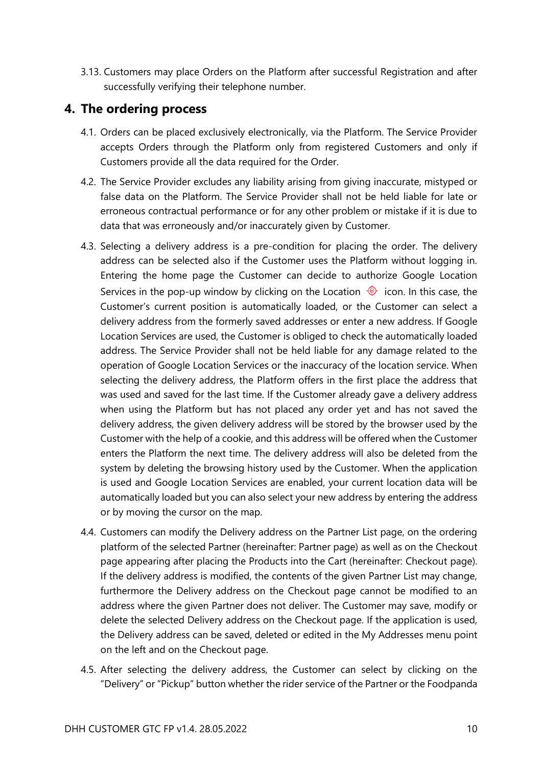3.13. Customers may place Orders on the Platform after successful Registration and after successfully verifying their telephone number.

#### <span id="page-9-0"></span>**4. The ordering process**

- 4.1. Orders can be placed exclusively electronically, via the Platform. The Service Provider accepts Orders through the Platform only from registered Customers and only if Customers provide all the data required for the Order.
- 4.2. The Service Provider excludes any liability arising from giving inaccurate, mistyped or false data on the Platform. The Service Provider shall not be held liable for late or erroneous contractual performance or for any other problem or mistake if it is due to data that was erroneously and/or inaccurately given by Customer.
- 4.3. Selecting a delivery address is a pre-condition for placing the order. The delivery address can be selected also if the Customer uses the Platform without logging in. Entering the home page the Customer can decide to authorize Google Location Services in the pop-up window by clicking on the Location  $\circledcirc$  icon. In this case, the Customer's current position is automatically loaded, or the Customer can select a delivery address from the formerly saved addresses or enter a new address. If Google Location Services are used, the Customer is obliged to check the automatically loaded address. The Service Provider shall not be held liable for any damage related to the operation of Google Location Services or the inaccuracy of the location service. When selecting the delivery address, the Platform offers in the first place the address that was used and saved for the last time. If the Customer already gave a delivery address when using the Platform but has not placed any order yet and has not saved the delivery address, the given delivery address will be stored by the browser used by the Customer with the help of a cookie, and this address will be offered when the Customer enters the Platform the next time. The delivery address will also be deleted from the system by deleting the browsing history used by the Customer. When the application is used and Google Location Services are enabled, your current location data will be automatically loaded but you can also select your new address by entering the address or by moving the cursor on the map.
- 4.4. Customers can modify the Delivery address on the Partner List page, on the ordering platform of the selected Partner (hereinafter: Partner page) as well as on the Checkout page appearing after placing the Products into the Cart (hereinafter: Checkout page). If the delivery address is modified, the contents of the given Partner List may change, furthermore the Delivery address on the Checkout page cannot be modified to an address where the given Partner does not deliver. The Customer may save, modify or delete the selected Delivery address on the Checkout page. If the application is used, the Delivery address can be saved, deleted or edited in the My Addresses menu point on the left and on the Checkout page.
- 4.5. After selecting the delivery address, the Customer can select by clicking on the "Delivery" or "Pickup" button whether the rider service of the Partner or the Foodpanda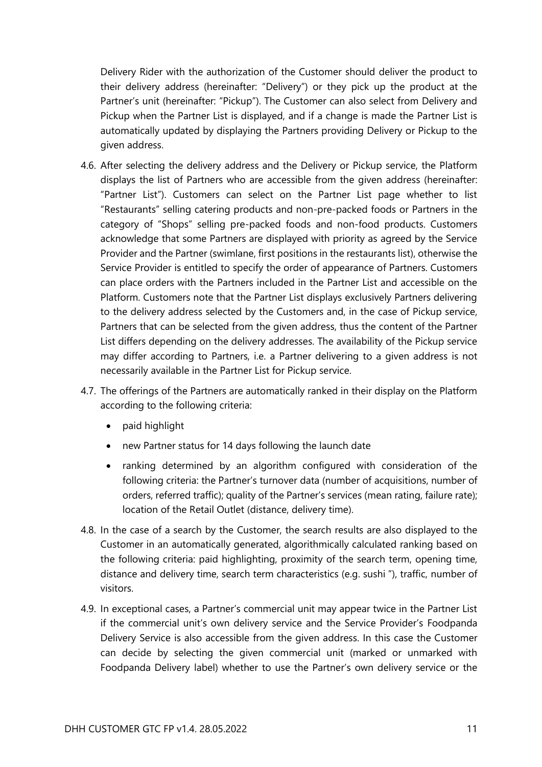Delivery Rider with the authorization of the Customer should deliver the product to their delivery address (hereinafter: "Delivery") or they pick up the product at the Partner's unit (hereinafter: "Pickup"). The Customer can also select from Delivery and Pickup when the Partner List is displayed, and if a change is made the Partner List is automatically updated by displaying the Partners providing Delivery or Pickup to the given address.

- 4.6. After selecting the delivery address and the Delivery or Pickup service, the Platform displays the list of Partners who are accessible from the given address (hereinafter: "Partner List"). Customers can select on the Partner List page whether to list "Restaurants" selling catering products and non-pre-packed foods or Partners in the category of "Shops" selling pre-packed foods and non-food products. Customers acknowledge that some Partners are displayed with priority as agreed by the Service Provider and the Partner (swimlane, first positions in the restaurants list), otherwise the Service Provider is entitled to specify the order of appearance of Partners. Customers can place orders with the Partners included in the Partner List and accessible on the Platform. Customers note that the Partner List displays exclusively Partners delivering to the delivery address selected by the Customers and, in the case of Pickup service, Partners that can be selected from the given address, thus the content of the Partner List differs depending on the delivery addresses. The availability of the Pickup service may differ according to Partners, i.e. a Partner delivering to a given address is not necessarily available in the Partner List for Pickup service.
- 4.7. The offerings of the Partners are automatically ranked in their display on the Platform according to the following criteria:
	- paid highlight
	- new Partner status for 14 days following the launch date
	- ranking determined by an algorithm configured with consideration of the following criteria: the Partner's turnover data (number of acquisitions, number of orders, referred traffic); quality of the Partner's services (mean rating, failure rate); location of the Retail Outlet (distance, delivery time).
- 4.8. In the case of a search by the Customer, the search results are also displayed to the Customer in an automatically generated, algorithmically calculated ranking based on the following criteria: paid highlighting, proximity of the search term, opening time, distance and delivery time, search term characteristics (e.g. sushi "), traffic, number of visitors.
- 4.9. In exceptional cases, a Partner's commercial unit may appear twice in the Partner List if the commercial unit's own delivery service and the Service Provider's Foodpanda Delivery Service is also accessible from the given address. In this case the Customer can decide by selecting the given commercial unit (marked or unmarked with Foodpanda Delivery label) whether to use the Partner's own delivery service or the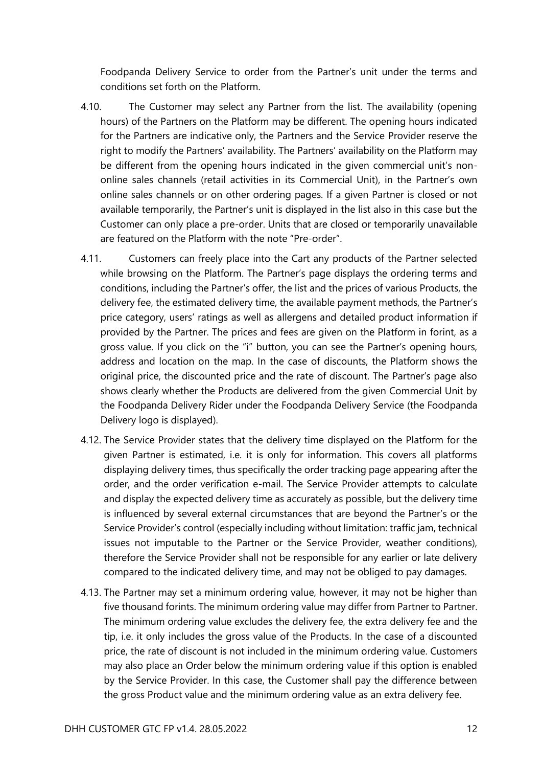Foodpanda Delivery Service to order from the Partner's unit under the terms and conditions set forth on the Platform.

- 4.10. The Customer may select any Partner from the list. The availability (opening hours) of the Partners on the Platform may be different. The opening hours indicated for the Partners are indicative only, the Partners and the Service Provider reserve the right to modify the Partners' availability. The Partners' availability on the Platform may be different from the opening hours indicated in the given commercial unit's nononline sales channels (retail activities in its Commercial Unit), in the Partner's own online sales channels or on other ordering pages. If a given Partner is closed or not available temporarily, the Partner's unit is displayed in the list also in this case but the Customer can only place a pre-order. Units that are closed or temporarily unavailable are featured on the Platform with the note "Pre-order".
- 4.11. Customers can freely place into the Cart any products of the Partner selected while browsing on the Platform. The Partner's page displays the ordering terms and conditions, including the Partner's offer, the list and the prices of various Products, the delivery fee, the estimated delivery time, the available payment methods, the Partner's price category, users' ratings as well as allergens and detailed product information if provided by the Partner. The prices and fees are given on the Platform in forint, as a gross value. If you click on the "i" button, you can see the Partner's opening hours, address and location on the map. In the case of discounts, the Platform shows the original price, the discounted price and the rate of discount. The Partner's page also shows clearly whether the Products are delivered from the given Commercial Unit by the Foodpanda Delivery Rider under the Foodpanda Delivery Service (the Foodpanda Delivery logo is displayed).
- 4.12. The Service Provider states that the delivery time displayed on the Platform for the given Partner is estimated, i.e. it is only for information. This covers all platforms displaying delivery times, thus specifically the order tracking page appearing after the order, and the order verification e-mail. The Service Provider attempts to calculate and display the expected delivery time as accurately as possible, but the delivery time is influenced by several external circumstances that are beyond the Partner's or the Service Provider's control (especially including without limitation: traffic jam, technical issues not imputable to the Partner or the Service Provider, weather conditions), therefore the Service Provider shall not be responsible for any earlier or late delivery compared to the indicated delivery time, and may not be obliged to pay damages.
- 4.13. The Partner may set a minimum ordering value, however, it may not be higher than five thousand forints. The minimum ordering value may differ from Partner to Partner. The minimum ordering value excludes the delivery fee, the extra delivery fee and the tip, i.e. it only includes the gross value of the Products. In the case of a discounted price, the rate of discount is not included in the minimum ordering value. Customers may also place an Order below the minimum ordering value if this option is enabled by the Service Provider. In this case, the Customer shall pay the difference between the gross Product value and the minimum ordering value as an extra delivery fee.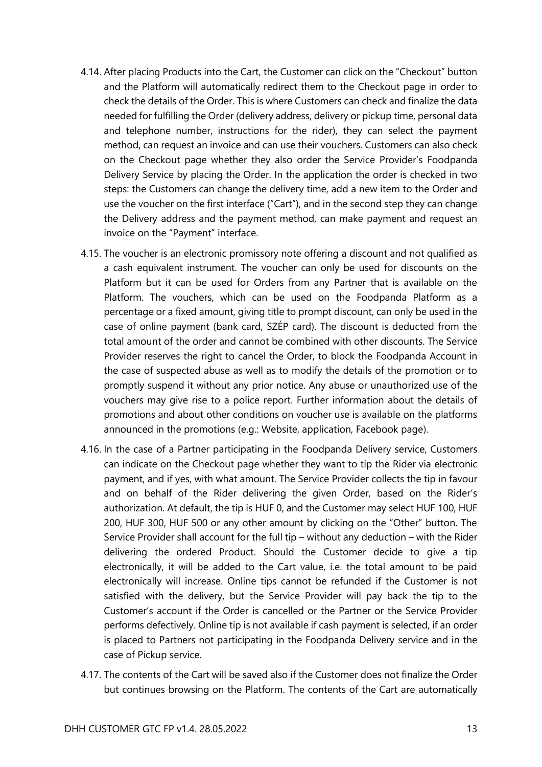- 4.14. After placing Products into the Cart, the Customer can click on the "Checkout" button and the Platform will automatically redirect them to the Checkout page in order to check the details of the Order. This is where Customers can check and finalize the data needed for fulfilling the Order (delivery address, delivery or pickup time, personal data and telephone number, instructions for the rider), they can select the payment method, can request an invoice and can use their vouchers. Customers can also check on the Checkout page whether they also order the Service Provider's Foodpanda Delivery Service by placing the Order. In the application the order is checked in two steps: the Customers can change the delivery time, add a new item to the Order and use the voucher on the first interface ("Cart"), and in the second step they can change the Delivery address and the payment method, can make payment and request an invoice on the "Payment" interface.
- 4.15. The voucher is an electronic promissory note offering a discount and not qualified as a cash equivalent instrument. The voucher can only be used for discounts on the Platform but it can be used for Orders from any Partner that is available on the Platform. The vouchers, which can be used on the Foodpanda Platform as a percentage or a fixed amount, giving title to prompt discount, can only be used in the case of online payment (bank card, SZÉP card). The discount is deducted from the total amount of the order and cannot be combined with other discounts. The Service Provider reserves the right to cancel the Order, to block the Foodpanda Account in the case of suspected abuse as well as to modify the details of the promotion or to promptly suspend it without any prior notice. Any abuse or unauthorized use of the vouchers may give rise to a police report. Further information about the details of promotions and about other conditions on voucher use is available on the platforms announced in the promotions (e.g.: Website, application, Facebook page).
- 4.16. In the case of a Partner participating in the Foodpanda Delivery service, Customers can indicate on the Checkout page whether they want to tip the Rider via electronic payment, and if yes, with what amount. The Service Provider collects the tip in favour and on behalf of the Rider delivering the given Order, based on the Rider's authorization. At default, the tip is HUF 0, and the Customer may select HUF 100, HUF 200, HUF 300, HUF 500 or any other amount by clicking on the "Other" button. The Service Provider shall account for the full tip – without any deduction – with the Rider delivering the ordered Product. Should the Customer decide to give a tip electronically, it will be added to the Cart value, i.e. the total amount to be paid electronically will increase. Online tips cannot be refunded if the Customer is not satisfied with the delivery, but the Service Provider will pay back the tip to the Customer's account if the Order is cancelled or the Partner or the Service Provider performs defectively. Online tip is not available if cash payment is selected, if an order is placed to Partners not participating in the Foodpanda Delivery service and in the case of Pickup service.
- 4.17. The contents of the Cart will be saved also if the Customer does not finalize the Order but continues browsing on the Platform. The contents of the Cart are automatically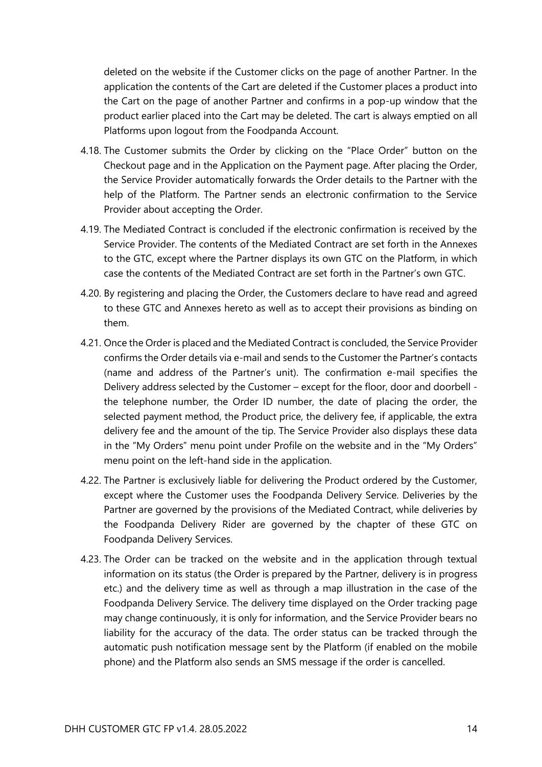deleted on the website if the Customer clicks on the page of another Partner. In the application the contents of the Cart are deleted if the Customer places a product into the Cart on the page of another Partner and confirms in a pop-up window that the product earlier placed into the Cart may be deleted. The cart is always emptied on all Platforms upon logout from the Foodpanda Account.

- 4.18. The Customer submits the Order by clicking on the "Place Order" button on the Checkout page and in the Application on the Payment page. After placing the Order, the Service Provider automatically forwards the Order details to the Partner with the help of the Platform. The Partner sends an electronic confirmation to the Service Provider about accepting the Order.
- 4.19. The Mediated Contract is concluded if the electronic confirmation is received by the Service Provider. The contents of the Mediated Contract are set forth in the Annexes to the GTC, except where the Partner displays its own GTC on the Platform, in which case the contents of the Mediated Contract are set forth in the Partner's own GTC.
- 4.20. By registering and placing the Order, the Customers declare to have read and agreed to these GTC and Annexes hereto as well as to accept their provisions as binding on them.
- 4.21. Once the Order is placed and the Mediated Contract is concluded, the Service Provider confirms the Order details via e-mail and sends to the Customer the Partner's contacts (name and address of the Partner's unit). The confirmation e-mail specifies the Delivery address selected by the Customer – except for the floor, door and doorbell the telephone number, the Order ID number, the date of placing the order, the selected payment method, the Product price, the delivery fee, if applicable, the extra delivery fee and the amount of the tip. The Service Provider also displays these data in the "My Orders" menu point under Profile on the website and in the "My Orders" menu point on the left-hand side in the application.
- 4.22. The Partner is exclusively liable for delivering the Product ordered by the Customer, except where the Customer uses the Foodpanda Delivery Service. Deliveries by the Partner are governed by the provisions of the Mediated Contract, while deliveries by the Foodpanda Delivery Rider are governed by the chapter of these GTC on Foodpanda Delivery Services.
- 4.23. The Order can be tracked on the website and in the application through textual information on its status (the Order is prepared by the Partner, delivery is in progress etc.) and the delivery time as well as through a map illustration in the case of the Foodpanda Delivery Service. The delivery time displayed on the Order tracking page may change continuously, it is only for information, and the Service Provider bears no liability for the accuracy of the data. The order status can be tracked through the automatic push notification message sent by the Platform (if enabled on the mobile phone) and the Platform also sends an SMS message if the order is cancelled.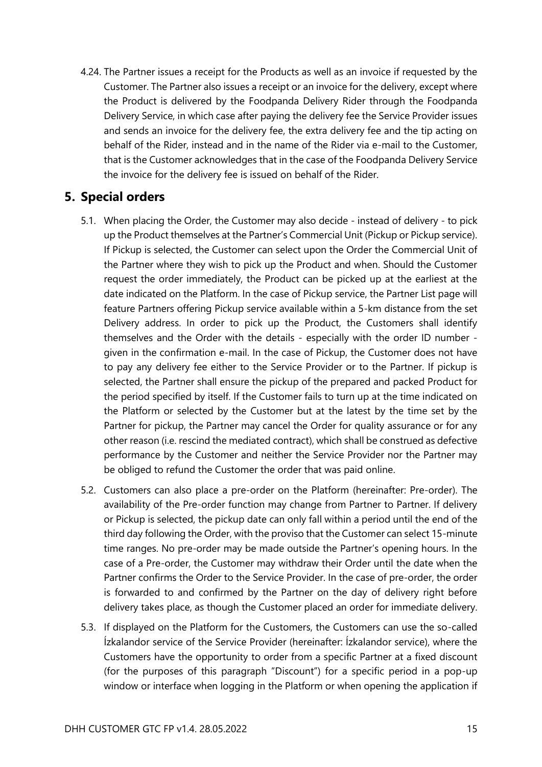4.24. The Partner issues a receipt for the Products as well as an invoice if requested by the Customer. The Partner also issues a receipt or an invoice for the delivery, except where the Product is delivered by the Foodpanda Delivery Rider through the Foodpanda Delivery Service, in which case after paying the delivery fee the Service Provider issues and sends an invoice for the delivery fee, the extra delivery fee and the tip acting on behalf of the Rider, instead and in the name of the Rider via e-mail to the Customer, that is the Customer acknowledges that in the case of the Foodpanda Delivery Service the invoice for the delivery fee is issued on behalf of the Rider.

#### <span id="page-14-0"></span>**5. Special orders**

- 5.1. When placing the Order, the Customer may also decide instead of delivery to pick up the Product themselves at the Partner's Commercial Unit (Pickup or Pickup service). If Pickup is selected, the Customer can select upon the Order the Commercial Unit of the Partner where they wish to pick up the Product and when. Should the Customer request the order immediately, the Product can be picked up at the earliest at the date indicated on the Platform. In the case of Pickup service, the Partner List page will feature Partners offering Pickup service available within a 5-km distance from the set Delivery address. In order to pick up the Product, the Customers shall identify themselves and the Order with the details - especially with the order ID number given in the confirmation e-mail. In the case of Pickup, the Customer does not have to pay any delivery fee either to the Service Provider or to the Partner. If pickup is selected, the Partner shall ensure the pickup of the prepared and packed Product for the period specified by itself. If the Customer fails to turn up at the time indicated on the Platform or selected by the Customer but at the latest by the time set by the Partner for pickup, the Partner may cancel the Order for quality assurance or for any other reason (i.e. rescind the mediated contract), which shall be construed as defective performance by the Customer and neither the Service Provider nor the Partner may be obliged to refund the Customer the order that was paid online.
- 5.2. Customers can also place a pre-order on the Platform (hereinafter: Pre-order). The availability of the Pre-order function may change from Partner to Partner. If delivery or Pickup is selected, the pickup date can only fall within a period until the end of the third day following the Order, with the proviso that the Customer can select 15-minute time ranges. No pre-order may be made outside the Partner's opening hours. In the case of a Pre-order, the Customer may withdraw their Order until the date when the Partner confirms the Order to the Service Provider. In the case of pre-order, the order is forwarded to and confirmed by the Partner on the day of delivery right before delivery takes place, as though the Customer placed an order for immediate delivery.
- 5.3. If displayed on the Platform for the Customers, the Customers can use the so-called Ízkalandor service of the Service Provider (hereinafter: Ízkalandor service), where the Customers have the opportunity to order from a specific Partner at a fixed discount (for the purposes of this paragraph "Discount") for a specific period in a pop-up window or interface when logging in the Platform or when opening the application if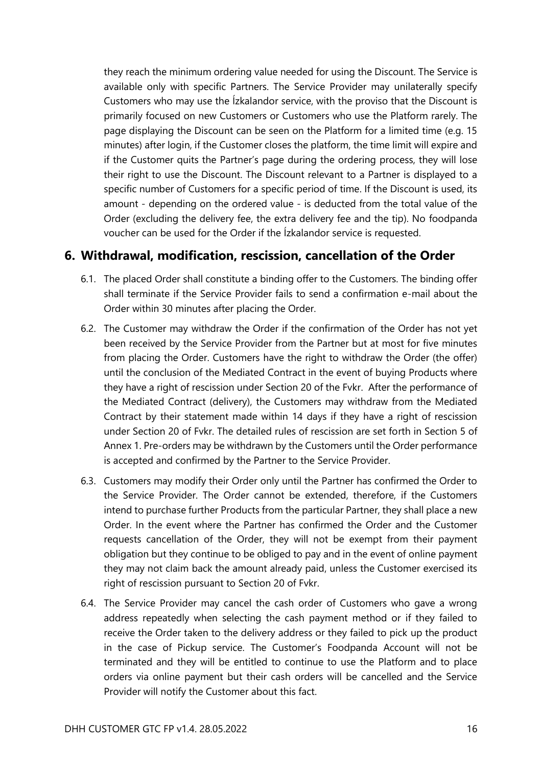they reach the minimum ordering value needed for using the Discount. The Service is available only with specific Partners. The Service Provider may unilaterally specify Customers who may use the Ízkalandor service, with the proviso that the Discount is primarily focused on new Customers or Customers who use the Platform rarely. The page displaying the Discount can be seen on the Platform for a limited time (e.g. 15 minutes) after login, if the Customer closes the platform, the time limit will expire and if the Customer quits the Partner's page during the ordering process, they will lose their right to use the Discount. The Discount relevant to a Partner is displayed to a specific number of Customers for a specific period of time. If the Discount is used, its amount - depending on the ordered value - is deducted from the total value of the Order (excluding the delivery fee, the extra delivery fee and the tip). No foodpanda voucher can be used for the Order if the Ízkalandor service is requested.

#### <span id="page-15-0"></span>**6. Withdrawal, modification, rescission, cancellation of the Order**

- 6.1. The placed Order shall constitute a binding offer to the Customers. The binding offer shall terminate if the Service Provider fails to send a confirmation e-mail about the Order within 30 minutes after placing the Order.
- 6.2. The Customer may withdraw the Order if the confirmation of the Order has not yet been received by the Service Provider from the Partner but at most for five minutes from placing the Order. Customers have the right to withdraw the Order (the offer) until the conclusion of the Mediated Contract in the event of buying Products where they have a right of rescission under Section 20 of the Fvkr. After the performance of the Mediated Contract (delivery), the Customers may withdraw from the Mediated Contract by their statement made within 14 days if they have a right of rescission under Section 20 of Fvkr. The detailed rules of rescission are set forth in Section 5 of Annex 1. Pre-orders may be withdrawn by the Customers until the Order performance is accepted and confirmed by the Partner to the Service Provider.
- 6.3. Customers may modify their Order only until the Partner has confirmed the Order to the Service Provider. The Order cannot be extended, therefore, if the Customers intend to purchase further Products from the particular Partner, they shall place a new Order. In the event where the Partner has confirmed the Order and the Customer requests cancellation of the Order, they will not be exempt from their payment obligation but they continue to be obliged to pay and in the event of online payment they may not claim back the amount already paid, unless the Customer exercised its right of rescission pursuant to Section 20 of Fvkr.
- 6.4. The Service Provider may cancel the cash order of Customers who gave a wrong address repeatedly when selecting the cash payment method or if they failed to receive the Order taken to the delivery address or they failed to pick up the product in the case of Pickup service. The Customer's Foodpanda Account will not be terminated and they will be entitled to continue to use the Platform and to place orders via online payment but their cash orders will be cancelled and the Service Provider will notify the Customer about this fact.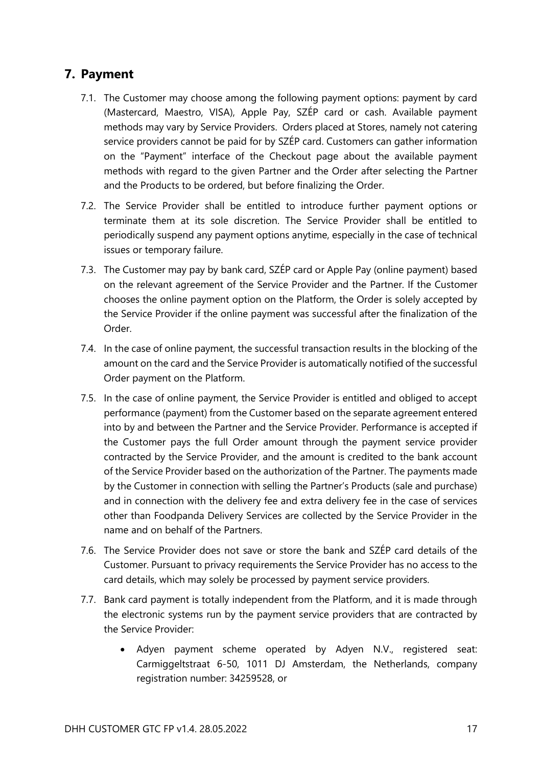#### <span id="page-16-0"></span>**7. Payment**

- 7.1. The Customer may choose among the following payment options: payment by card (Mastercard, Maestro, VISA), Apple Pay, SZÉP card or cash. Available payment methods may vary by Service Providers. Orders placed at Stores, namely not catering service providers cannot be paid for by SZÉP card. Customers can gather information on the "Payment" interface of the Checkout page about the available payment methods with regard to the given Partner and the Order after selecting the Partner and the Products to be ordered, but before finalizing the Order.
- 7.2. The Service Provider shall be entitled to introduce further payment options or terminate them at its sole discretion. The Service Provider shall be entitled to periodically suspend any payment options anytime, especially in the case of technical issues or temporary failure.
- 7.3. The Customer may pay by bank card, SZÉP card or Apple Pay (online payment) based on the relevant agreement of the Service Provider and the Partner. If the Customer chooses the online payment option on the Platform, the Order is solely accepted by the Service Provider if the online payment was successful after the finalization of the Order.
- 7.4. In the case of online payment, the successful transaction results in the blocking of the amount on the card and the Service Provider is automatically notified of the successful Order payment on the Platform.
- 7.5. In the case of online payment, the Service Provider is entitled and obliged to accept performance (payment) from the Customer based on the separate agreement entered into by and between the Partner and the Service Provider. Performance is accepted if the Customer pays the full Order amount through the payment service provider contracted by the Service Provider, and the amount is credited to the bank account of the Service Provider based on the authorization of the Partner. The payments made by the Customer in connection with selling the Partner's Products (sale and purchase) and in connection with the delivery fee and extra delivery fee in the case of services other than Foodpanda Delivery Services are collected by the Service Provider in the name and on behalf of the Partners.
- 7.6. The Service Provider does not save or store the bank and SZÉP card details of the Customer. Pursuant to privacy requirements the Service Provider has no access to the card details, which may solely be processed by payment service providers.
- 7.7. Bank card payment is totally independent from the Platform, and it is made through the electronic systems run by the payment service providers that are contracted by the Service Provider:
	- Adyen payment scheme operated by Adyen N.V., registered seat: Carmiggeltstraat 6-50, 1011 DJ Amsterdam, the Netherlands, company registration number: 34259528, or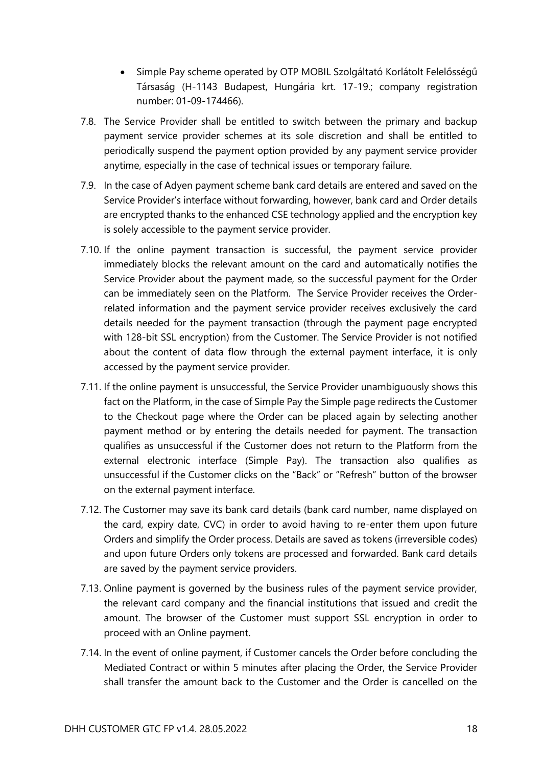- Simple Pay scheme operated by OTP MOBIL Szolgáltató Korlátolt Felelősségű Társaság (H-1143 Budapest, Hungária krt. 17-19.; company registration number: 01-09-174466).
- 7.8. The Service Provider shall be entitled to switch between the primary and backup payment service provider schemes at its sole discretion and shall be entitled to periodically suspend the payment option provided by any payment service provider anytime, especially in the case of technical issues or temporary failure.
- 7.9. In the case of Adyen payment scheme bank card details are entered and saved on the Service Provider's interface without forwarding, however, bank card and Order details are encrypted thanks to the enhanced CSE technology applied and the encryption key is solely accessible to the payment service provider.
- 7.10. If the online payment transaction is successful, the payment service provider immediately blocks the relevant amount on the card and automatically notifies the Service Provider about the payment made, so the successful payment for the Order can be immediately seen on the Platform. The Service Provider receives the Orderrelated information and the payment service provider receives exclusively the card details needed for the payment transaction (through the payment page encrypted with 128-bit SSL encryption) from the Customer. The Service Provider is not notified about the content of data flow through the external payment interface, it is only accessed by the payment service provider.
- 7.11. If the online payment is unsuccessful, the Service Provider unambiguously shows this fact on the Platform, in the case of Simple Pay the Simple page redirects the Customer to the Checkout page where the Order can be placed again by selecting another payment method or by entering the details needed for payment. The transaction qualifies as unsuccessful if the Customer does not return to the Platform from the external electronic interface (Simple Pay). The transaction also qualifies as unsuccessful if the Customer clicks on the "Back" or "Refresh" button of the browser on the external payment interface.
- 7.12. The Customer may save its bank card details (bank card number, name displayed on the card, expiry date, CVC) in order to avoid having to re-enter them upon future Orders and simplify the Order process. Details are saved as tokens (irreversible codes) and upon future Orders only tokens are processed and forwarded. Bank card details are saved by the payment service providers.
- 7.13. Online payment is governed by the business rules of the payment service provider, the relevant card company and the financial institutions that issued and credit the amount. The browser of the Customer must support SSL encryption in order to proceed with an Online payment.
- 7.14. In the event of online payment, if Customer cancels the Order before concluding the Mediated Contract or within 5 minutes after placing the Order, the Service Provider shall transfer the amount back to the Customer and the Order is cancelled on the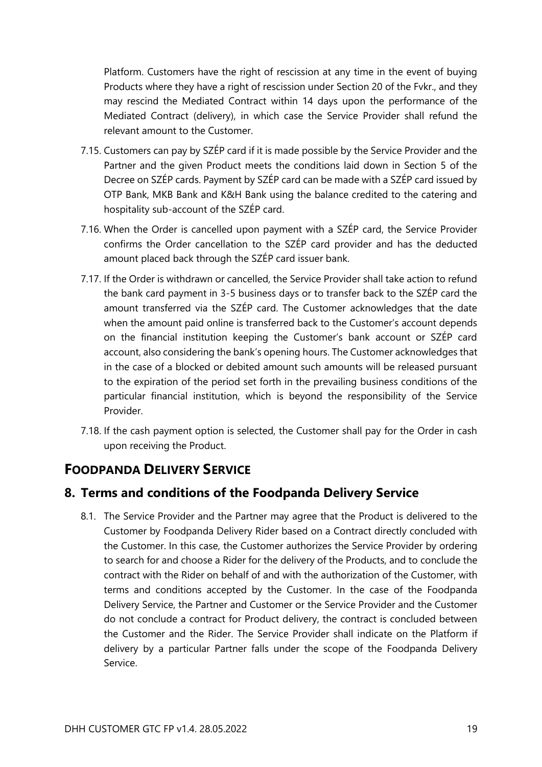Platform. Customers have the right of rescission at any time in the event of buying Products where they have a right of rescission under Section 20 of the Fvkr., and they may rescind the Mediated Contract within 14 days upon the performance of the Mediated Contract (delivery), in which case the Service Provider shall refund the relevant amount to the Customer.

- 7.15. Customers can pay by SZÉP card if it is made possible by the Service Provider and the Partner and the given Product meets the conditions laid down in Section 5 of the Decree on SZÉP cards. Payment by SZÉP card can be made with a SZÉP card issued by OTP Bank, MKB Bank and K&H Bank using the balance credited to the catering and hospitality sub-account of the SZÉP card.
- 7.16. When the Order is cancelled upon payment with a SZÉP card, the Service Provider confirms the Order cancellation to the SZÉP card provider and has the deducted amount placed back through the SZÉP card issuer bank.
- 7.17. If the Order is withdrawn or cancelled, the Service Provider shall take action to refund the bank card payment in 3-5 business days or to transfer back to the SZÉP card the amount transferred via the SZÉP card. The Customer acknowledges that the date when the amount paid online is transferred back to the Customer's account depends on the financial institution keeping the Customer's bank account or SZÉP card account, also considering the bank's opening hours. The Customer acknowledges that in the case of a blocked or debited amount such amounts will be released pursuant to the expiration of the period set forth in the prevailing business conditions of the particular financial institution, which is beyond the responsibility of the Service Provider.
- 7.18. If the cash payment option is selected, the Customer shall pay for the Order in cash upon receiving the Product.

### <span id="page-18-0"></span>**FOODPANDA DELIVERY SERVICE**

#### <span id="page-18-1"></span>**8. Terms and conditions of the Foodpanda Delivery Service**

8.1. The Service Provider and the Partner may agree that the Product is delivered to the Customer by Foodpanda Delivery Rider based on a Contract directly concluded with the Customer. In this case, the Customer authorizes the Service Provider by ordering to search for and choose a Rider for the delivery of the Products, and to conclude the contract with the Rider on behalf of and with the authorization of the Customer, with terms and conditions accepted by the Customer. In the case of the Foodpanda Delivery Service, the Partner and Customer or the Service Provider and the Customer do not conclude a contract for Product delivery, the contract is concluded between the Customer and the Rider. The Service Provider shall indicate on the Platform if delivery by a particular Partner falls under the scope of the Foodpanda Delivery Service.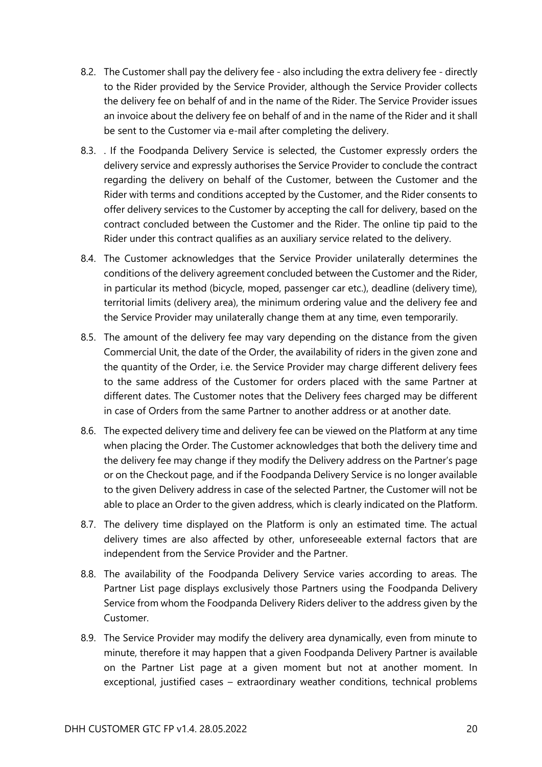- 8.2. The Customer shall pay the delivery fee also including the extra delivery fee directly to the Rider provided by the Service Provider, although the Service Provider collects the delivery fee on behalf of and in the name of the Rider. The Service Provider issues an invoice about the delivery fee on behalf of and in the name of the Rider and it shall be sent to the Customer via e-mail after completing the delivery.
- 8.3. . If the Foodpanda Delivery Service is selected, the Customer expressly orders the delivery service and expressly authorises the Service Provider to conclude the contract regarding the delivery on behalf of the Customer, between the Customer and the Rider with terms and conditions accepted by the Customer, and the Rider consents to offer delivery services to the Customer by accepting the call for delivery, based on the contract concluded between the Customer and the Rider. The online tip paid to the Rider under this contract qualifies as an auxiliary service related to the delivery.
- 8.4. The Customer acknowledges that the Service Provider unilaterally determines the conditions of the delivery agreement concluded between the Customer and the Rider, in particular its method (bicycle, moped, passenger car etc.), deadline (delivery time), territorial limits (delivery area), the minimum ordering value and the delivery fee and the Service Provider may unilaterally change them at any time, even temporarily.
- 8.5. The amount of the delivery fee may vary depending on the distance from the given Commercial Unit, the date of the Order, the availability of riders in the given zone and the quantity of the Order, i.e. the Service Provider may charge different delivery fees to the same address of the Customer for orders placed with the same Partner at different dates. The Customer notes that the Delivery fees charged may be different in case of Orders from the same Partner to another address or at another date.
- 8.6. The expected delivery time and delivery fee can be viewed on the Platform at any time when placing the Order. The Customer acknowledges that both the delivery time and the delivery fee may change if they modify the Delivery address on the Partner's page or on the Checkout page, and if the Foodpanda Delivery Service is no longer available to the given Delivery address in case of the selected Partner, the Customer will not be able to place an Order to the given address, which is clearly indicated on the Platform.
- 8.7. The delivery time displayed on the Platform is only an estimated time. The actual delivery times are also affected by other, unforeseeable external factors that are independent from the Service Provider and the Partner.
- 8.8. The availability of the Foodpanda Delivery Service varies according to areas. The Partner List page displays exclusively those Partners using the Foodpanda Delivery Service from whom the Foodpanda Delivery Riders deliver to the address given by the Customer.
- 8.9. The Service Provider may modify the delivery area dynamically, even from minute to minute, therefore it may happen that a given Foodpanda Delivery Partner is available on the Partner List page at a given moment but not at another moment. In exceptional, justified cases – extraordinary weather conditions, technical problems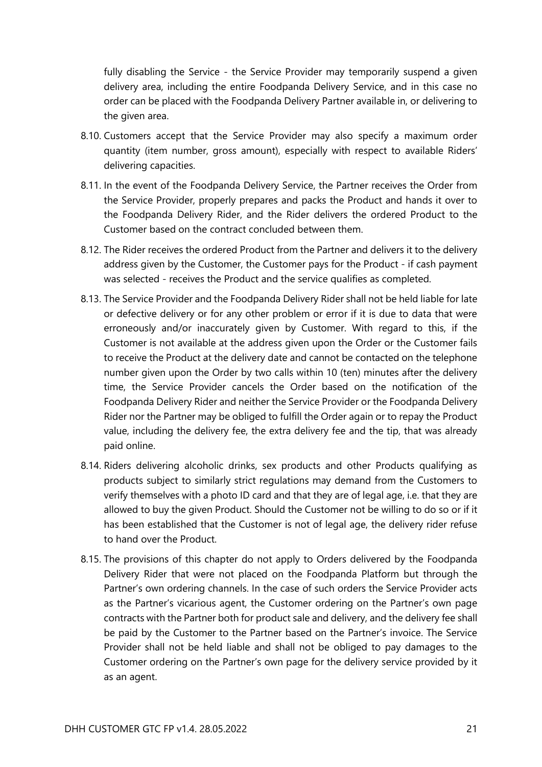fully disabling the Service - the Service Provider may temporarily suspend a given delivery area, including the entire Foodpanda Delivery Service, and in this case no order can be placed with the Foodpanda Delivery Partner available in, or delivering to the given area.

- 8.10. Customers accept that the Service Provider may also specify a maximum order quantity (item number, gross amount), especially with respect to available Riders' delivering capacities.
- 8.11. In the event of the Foodpanda Delivery Service, the Partner receives the Order from the Service Provider, properly prepares and packs the Product and hands it over to the Foodpanda Delivery Rider, and the Rider delivers the ordered Product to the Customer based on the contract concluded between them.
- 8.12. The Rider receives the ordered Product from the Partner and delivers it to the delivery address given by the Customer, the Customer pays for the Product - if cash payment was selected - receives the Product and the service qualifies as completed.
- 8.13. The Service Provider and the Foodpanda Delivery Rider shall not be held liable for late or defective delivery or for any other problem or error if it is due to data that were erroneously and/or inaccurately given by Customer. With regard to this, if the Customer is not available at the address given upon the Order or the Customer fails to receive the Product at the delivery date and cannot be contacted on the telephone number given upon the Order by two calls within 10 (ten) minutes after the delivery time, the Service Provider cancels the Order based on the notification of the Foodpanda Delivery Rider and neither the Service Provider or the Foodpanda Delivery Rider nor the Partner may be obliged to fulfill the Order again or to repay the Product value, including the delivery fee, the extra delivery fee and the tip, that was already paid online.
- 8.14. Riders delivering alcoholic drinks, sex products and other Products qualifying as products subject to similarly strict regulations may demand from the Customers to verify themselves with a photo ID card and that they are of legal age, i.e. that they are allowed to buy the given Product. Should the Customer not be willing to do so or if it has been established that the Customer is not of legal age, the delivery rider refuse to hand over the Product.
- 8.15. The provisions of this chapter do not apply to Orders delivered by the Foodpanda Delivery Rider that were not placed on the Foodpanda Platform but through the Partner's own ordering channels. In the case of such orders the Service Provider acts as the Partner's vicarious agent, the Customer ordering on the Partner's own page contracts with the Partner both for product sale and delivery, and the delivery fee shall be paid by the Customer to the Partner based on the Partner's invoice. The Service Provider shall not be held liable and shall not be obliged to pay damages to the Customer ordering on the Partner's own page for the delivery service provided by it as an agent.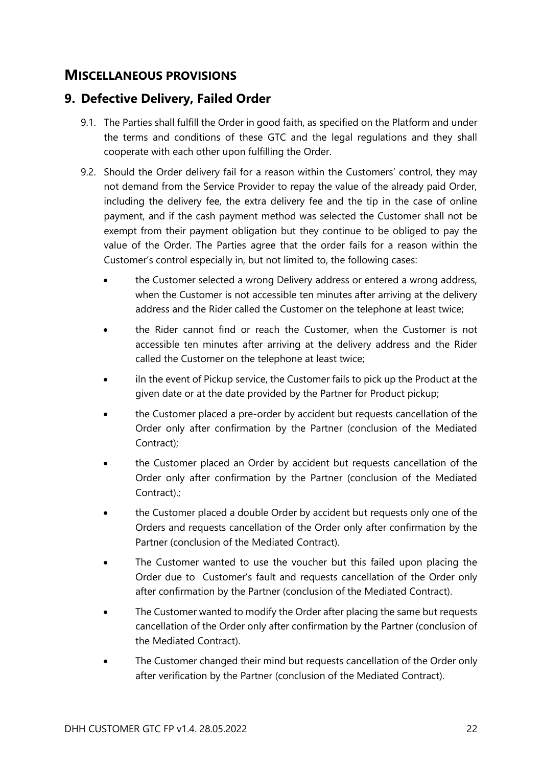#### <span id="page-21-0"></span>**MISCELLANEOUS PROVISIONS**

#### <span id="page-21-1"></span>**9. Defective Delivery, Failed Order**

- 9.1. The Parties shall fulfill the Order in good faith, as specified on the Platform and under the terms and conditions of these GTC and the legal regulations and they shall cooperate with each other upon fulfilling the Order.
- 9.2. Should the Order delivery fail for a reason within the Customers' control, they may not demand from the Service Provider to repay the value of the already paid Order, including the delivery fee, the extra delivery fee and the tip in the case of online payment, and if the cash payment method was selected the Customer shall not be exempt from their payment obligation but they continue to be obliged to pay the value of the Order. The Parties agree that the order fails for a reason within the Customer's control especially in, but not limited to, the following cases:
	- the Customer selected a wrong Delivery address or entered a wrong address, when the Customer is not accessible ten minutes after arriving at the delivery address and the Rider called the Customer on the telephone at least twice;
	- the Rider cannot find or reach the Customer, when the Customer is not accessible ten minutes after arriving at the delivery address and the Rider called the Customer on the telephone at least twice;
	- iln the event of Pickup service, the Customer fails to pick up the Product at the given date or at the date provided by the Partner for Product pickup;
	- the Customer placed a pre-order by accident but requests cancellation of the Order only after confirmation by the Partner (conclusion of the Mediated Contract);
	- the Customer placed an Order by accident but requests cancellation of the Order only after confirmation by the Partner (conclusion of the Mediated Contract).;
	- the Customer placed a double Order by accident but requests only one of the Orders and requests cancellation of the Order only after confirmation by the Partner (conclusion of the Mediated Contract).
	- The Customer wanted to use the voucher but this failed upon placing the Order due to Customer's fault and requests cancellation of the Order only after confirmation by the Partner (conclusion of the Mediated Contract).
	- The Customer wanted to modify the Order after placing the same but requests cancellation of the Order only after confirmation by the Partner (conclusion of the Mediated Contract).
	- The Customer changed their mind but requests cancellation of the Order only after verification by the Partner (conclusion of the Mediated Contract).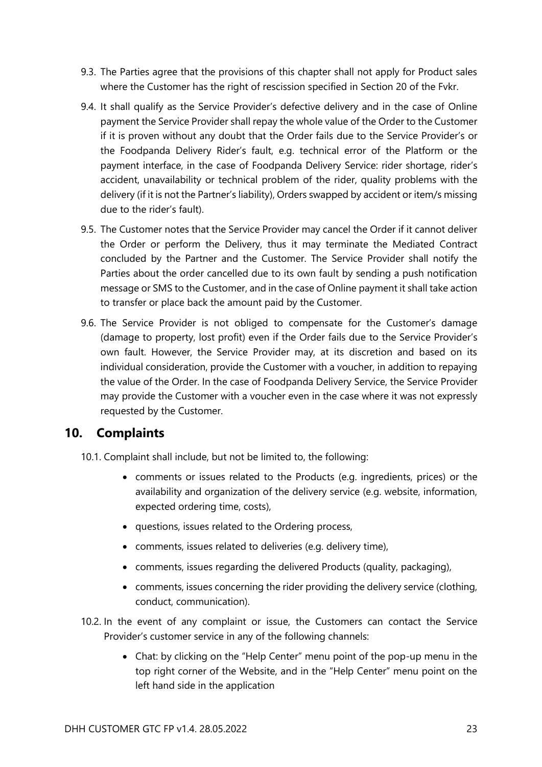- 9.3. The Parties agree that the provisions of this chapter shall not apply for Product sales where the Customer has the right of rescission specified in Section 20 of the Fvkr.
- 9.4. It shall qualify as the Service Provider's defective delivery and in the case of Online payment the Service Provider shall repay the whole value of the Order to the Customer if it is proven without any doubt that the Order fails due to the Service Provider's or the Foodpanda Delivery Rider's fault, e.g. technical error of the Platform or the payment interface, in the case of Foodpanda Delivery Service: rider shortage, rider's accident, unavailability or technical problem of the rider, quality problems with the delivery (if it is not the Partner's liability), Orders swapped by accident or item/s missing due to the rider's fault).
- 9.5. The Customer notes that the Service Provider may cancel the Order if it cannot deliver the Order or perform the Delivery, thus it may terminate the Mediated Contract concluded by the Partner and the Customer. The Service Provider shall notify the Parties about the order cancelled due to its own fault by sending a push notification message or SMS to the Customer, and in the case of Online payment it shall take action to transfer or place back the amount paid by the Customer.
- 9.6. The Service Provider is not obliged to compensate for the Customer's damage (damage to property, lost profit) even if the Order fails due to the Service Provider's own fault. However, the Service Provider may, at its discretion and based on its individual consideration, provide the Customer with a voucher, in addition to repaying the value of the Order. In the case of Foodpanda Delivery Service, the Service Provider may provide the Customer with a voucher even in the case where it was not expressly requested by the Customer.

#### <span id="page-22-0"></span>**10. Complaints**

10.1. Complaint shall include, but not be limited to, the following:

- comments or issues related to the Products (e.g. ingredients, prices) or the availability and organization of the delivery service (e.g. website, information, expected ordering time, costs),
- questions, issues related to the Ordering process,
- comments, issues related to deliveries (e.g. delivery time),
- comments, issues regarding the delivered Products (quality, packaging),
- comments, issues concerning the rider providing the delivery service (clothing, conduct, communication).
- 10.2. In the event of any complaint or issue, the Customers can contact the Service Provider's customer service in any of the following channels:
	- Chat: by clicking on the "Help Center" menu point of the pop-up menu in the top right corner of the Website, and in the "Help Center" menu point on the left hand side in the application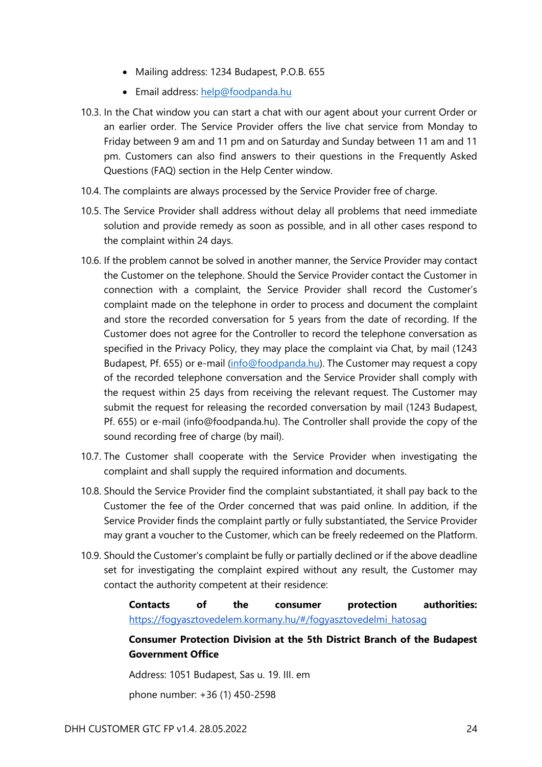- Mailing address: 1234 Budapest, P.O.B. 655
- Email address: [help@foodpanda.hu](mailto:help@foodpanda.hu)
- 10.3. In the Chat window you can start a chat with our agent about your current Order or an earlier order. The Service Provider offers the live chat service from Monday to Friday between 9 am and 11 pm and on Saturday and Sunday between 11 am and 11 pm. Customers can also find answers to their questions in the Frequently Asked Questions (FAQ) section in the Help Center window.
- 10.4. The complaints are always processed by the Service Provider free of charge.
- 10.5. The Service Provider shall address without delay all problems that need immediate solution and provide remedy as soon as possible, and in all other cases respond to the complaint within 24 days.
- 10.6. If the problem cannot be solved in another manner, the Service Provider may contact the Customer on the telephone. Should the Service Provider contact the Customer in connection with a complaint, the Service Provider shall record the Customer's complaint made on the telephone in order to process and document the complaint and store the recorded conversation for 5 years from the date of recording. If the Customer does not agree for the Controller to record the telephone conversation as specified in the Privacy Policy, they may place the complaint via Chat, by mail (1243 Budapest, Pf. 655) or e-mail [\(info@foodpanda.hu\)](mailto:info@foodpanda.hu). The Customer may request a copy of the recorded telephone conversation and the Service Provider shall comply with the request within 25 days from receiving the relevant request. The Customer may submit the request for releasing the recorded conversation by mail (1243 Budapest, Pf. 655) or e-mail [\(info@foodpanda.hu\)](mailto:info@netpincer.hu). The Controller shall provide the copy of the sound recording free of charge (by mail).
- 10.7. The Customer shall cooperate with the Service Provider when investigating the complaint and shall supply the required information and documents.
- 10.8. Should the Service Provider find the complaint substantiated, it shall pay back to the Customer the fee of the Order concerned that was paid online. In addition, if the Service Provider finds the complaint partly or fully substantiated, the Service Provider may grant a voucher to the Customer, which can be freely redeemed on the Platform.
- 10.9. Should the Customer's complaint be fully or partially declined or if the above deadline set for investigating the complaint expired without any result, the Customer may contact the authority competent at their residence:

#### **Contacts of the consumer protection authorities:**  [https://fogyasztovedelem.kormany.hu/#/fogyasztovedelmi\\_hatosag](https://fogyasztovedelem.kormany.hu/#/fogyasztovedelmi_hatosag)

#### **Consumer Protection Division at the 5th District Branch of the Budapest Government Office**

Address: 1051 Budapest, Sas u. 19. III. em

phone number: +36 (1) 450-2598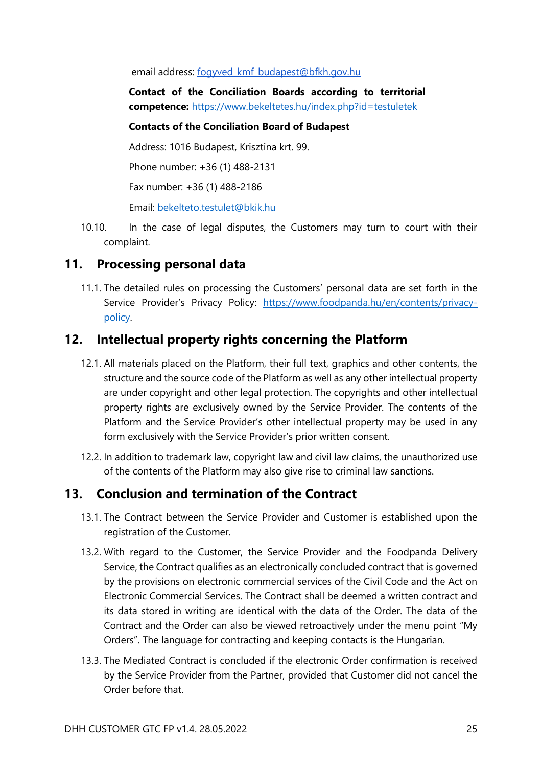email address: [fogyved\\_kmf\\_budapest@bfkh.gov.hu](mailto:fogyved_kmf_budapest@bfkh.gov.hu)

**Contact of the Conciliation Boards according to territorial competence:** <https://www.bekeltetes.hu/index.php?id=testuletek>

#### **Contacts of the Conciliation Board of Budapest**

Address: 1016 Budapest, Krisztina krt. 99.

Phone number: +36 (1) 488-2131

Fax number: +36 (1) 488-2186

Email: [bekelteto.testulet@bkik.hu](mailto:bekelteto.testulet@bkik.hu)

10.10. In the case of legal disputes, the Customers may turn to court with their complaint.

#### <span id="page-24-0"></span>**11. Processing personal data**

11.1. The detailed rules on processing the Customers' personal data are set forth in the Service Provider's Privacy Policy: [https://www.foodpanda.hu/en/contents/privacy](https://www.foodpanda.hu/en/contents/privacy-policy)[policy.](https://www.foodpanda.hu/en/contents/privacy-policy)

#### <span id="page-24-1"></span>**12. Intellectual property rights concerning the Platform**

- 12.1. All materials placed on the Platform, their full text, graphics and other contents, the structure and the source code of the Platform as well as any other intellectual property are under copyright and other legal protection. The copyrights and other intellectual property rights are exclusively owned by the Service Provider. The contents of the Platform and the Service Provider's other intellectual property may be used in any form exclusively with the Service Provider's prior written consent.
- 12.2. In addition to trademark law, copyright law and civil law claims, the unauthorized use of the contents of the Platform may also give rise to criminal law sanctions.

#### <span id="page-24-2"></span>**13. Conclusion and termination of the Contract**

- 13.1. The Contract between the Service Provider and Customer is established upon the registration of the Customer.
- 13.2. With regard to the Customer, the Service Provider and the Foodpanda Delivery Service, the Contract qualifies as an electronically concluded contract that is governed by the provisions on electronic commercial services of the Civil Code and the Act on Electronic Commercial Services. The Contract shall be deemed a written contract and its data stored in writing are identical with the data of the Order. The data of the Contract and the Order can also be viewed retroactively under the menu point "My Orders". The language for contracting and keeping contacts is the Hungarian.
- 13.3. The Mediated Contract is concluded if the electronic Order confirmation is received by the Service Provider from the Partner, provided that Customer did not cancel the Order before that.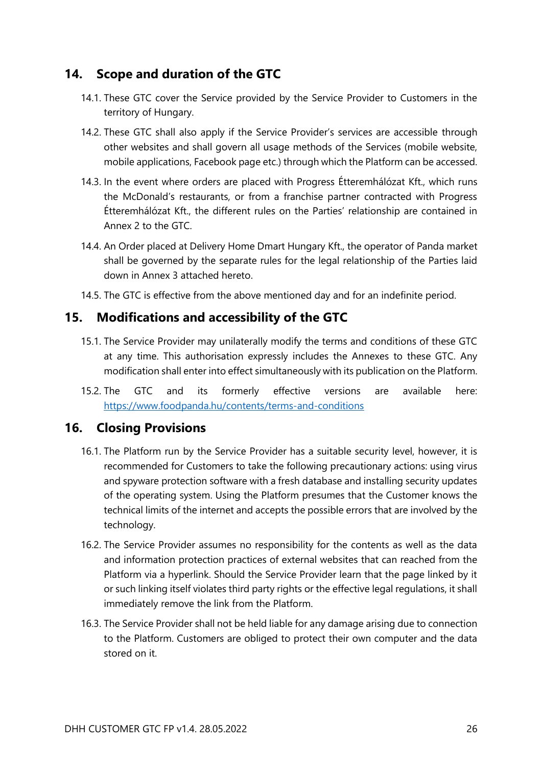#### <span id="page-25-0"></span>**14. Scope and duration of the GTC**

- 14.1. These GTC cover the Service provided by the Service Provider to Customers in the territory of Hungary.
- 14.2. These GTC shall also apply if the Service Provider's services are accessible through other websites and shall govern all usage methods of the Services (mobile website, mobile applications, Facebook page etc.) through which the Platform can be accessed.
- 14.3. In the event where orders are placed with Progress Étteremhálózat Kft., which runs the McDonald's restaurants, or from a franchise partner contracted with Progress Étteremhálózat Kft., the different rules on the Parties' relationship are contained in Annex 2 to the GTC.
- 14.4. An Order placed at Delivery Home Dmart Hungary Kft., the operator of Panda market shall be governed by the separate rules for the legal relationship of the Parties laid down in Annex 3 attached hereto.
- 14.5. The GTC is effective from the above mentioned day and for an indefinite period.

#### <span id="page-25-1"></span>**15. Modifications and accessibility of the GTC**

- 15.1. The Service Provider may unilaterally modify the terms and conditions of these GTC at any time. This authorisation expressly includes the Annexes to these GTC. Any modification shall enter into effect simultaneously with its publication on the Platform.
- 15.2. The GTC and its formerly effective versions are available here: [https://www.foodpanda.hu/contents/terms-and-conditions](https://www.netpincer.hu/contents/terms-and-conditions)

#### <span id="page-25-2"></span>**16. Closing Provisions**

- 16.1. The Platform run by the Service Provider has a suitable security level, however, it is recommended for Customers to take the following precautionary actions: using virus and spyware protection software with a fresh database and installing security updates of the operating system. Using the Platform presumes that the Customer knows the technical limits of the internet and accepts the possible errors that are involved by the technology.
- 16.2. The Service Provider assumes no responsibility for the contents as well as the data and information protection practices of external websites that can reached from the Platform via a hyperlink. Should the Service Provider learn that the page linked by it or such linking itself violates third party rights or the effective legal regulations, it shall immediately remove the link from the Platform.
- 16.3. The Service Provider shall not be held liable for any damage arising due to connection to the Platform. Customers are obliged to protect their own computer and the data stored on it.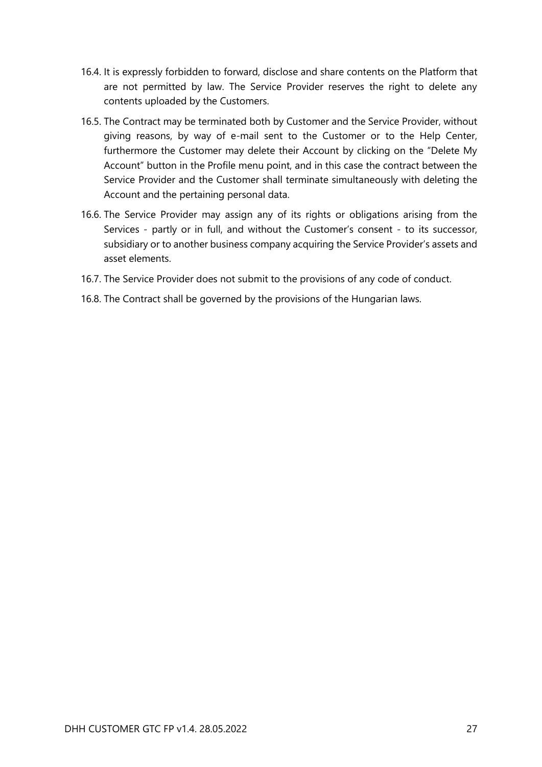- 16.4. It is expressly forbidden to forward, disclose and share contents on the Platform that are not permitted by law. The Service Provider reserves the right to delete any contents uploaded by the Customers.
- 16.5. The Contract may be terminated both by Customer and the Service Provider, without giving reasons, by way of e-mail sent to the Customer or to the Help Center, furthermore the Customer may delete their Account by clicking on the "Delete My Account" button in the Profile menu point, and in this case the contract between the Service Provider and the Customer shall terminate simultaneously with deleting the Account and the pertaining personal data.
- 16.6. The Service Provider may assign any of its rights or obligations arising from the Services - partly or in full, and without the Customer's consent - to its successor, subsidiary or to another business company acquiring the Service Provider's assets and asset elements.
- 16.7. The Service Provider does not submit to the provisions of any code of conduct.
- <span id="page-26-0"></span>16.8. The Contract shall be governed by the provisions of the Hungarian laws.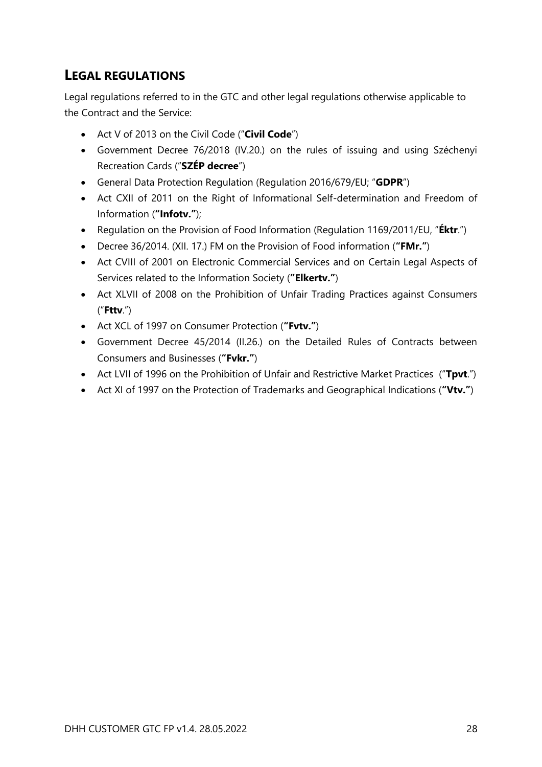# **LEGAL REGULATIONS**

Legal regulations referred to in the GTC and other legal regulations otherwise applicable to the Contract and the Service:

- Act V of 2013 on the Civil Code ("**Civil Code**")
- Government Decree 76/2018 (IV.20.) on the rules of issuing and using Széchenyi Recreation Cards ("**SZÉP decree**")
- General Data Protection Regulation (Regulation 2016/679/EU; "**GDPR**")
- Act CXII of 2011 on the Right of Informational Self-determination and Freedom of Information (**"Infotv."**);
- Regulation on the Provision of Food Information (Regulation 1169/2011/EU, "**Éktr**.")
- Decree 36/2014. (XII. 17.) FM on the Provision of Food information (**"FMr."**)
- Act CVIII of 2001 on Electronic Commercial Services and on Certain Legal Aspects of Services related to the Information Society (**"Elkertv."**)
- Act XLVII of 2008 on the Prohibition of Unfair Trading Practices against Consumers ("**Fttv**.")
- Act XCL of 1997 on Consumer Protection (**"Fvtv."**)
- Government Decree 45/2014 (II.26.) on the Detailed Rules of Contracts between Consumers and Businesses (**"Fvkr."**)
- Act LVII of 1996 on the Prohibition of Unfair and Restrictive Market Practices ("**Tpvt**.")
- Act XI of 1997 on the Protection of Trademarks and Geographical Indications (**"Vtv."**)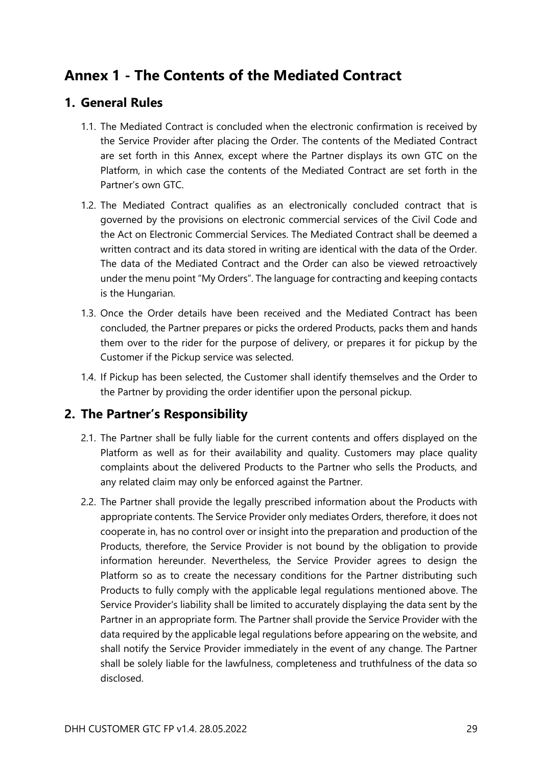# <span id="page-28-0"></span>**Annex 1 - The Contents of the Mediated Contract**

#### <span id="page-28-1"></span>**1. General Rules**

- 1.1. The Mediated Contract is concluded when the electronic confirmation is received by the Service Provider after placing the Order. The contents of the Mediated Contract are set forth in this Annex, except where the Partner displays its own GTC on the Platform, in which case the contents of the Mediated Contract are set forth in the Partner's own GTC.
- 1.2. The Mediated Contract qualifies as an electronically concluded contract that is governed by the provisions on electronic commercial services of the Civil Code and the Act on Electronic Commercial Services. The Mediated Contract shall be deemed a written contract and its data stored in writing are identical with the data of the Order. The data of the Mediated Contract and the Order can also be viewed retroactively under the menu point "My Orders". The language for contracting and keeping contacts is the Hungarian.
- 1.3. Once the Order details have been received and the Mediated Contract has been concluded, the Partner prepares or picks the ordered Products, packs them and hands them over to the rider for the purpose of delivery, or prepares it for pickup by the Customer if the Pickup service was selected.
- 1.4. If Pickup has been selected, the Customer shall identify themselves and the Order to the Partner by providing the order identifier upon the personal pickup.

#### <span id="page-28-2"></span>**2. The Partner's Responsibility**

- 2.1. The Partner shall be fully liable for the current contents and offers displayed on the Platform as well as for their availability and quality. Customers may place quality complaints about the delivered Products to the Partner who sells the Products, and any related claim may only be enforced against the Partner.
- 2.2. The Partner shall provide the legally prescribed information about the Products with appropriate contents. The Service Provider only mediates Orders, therefore, it does not cooperate in, has no control over or insight into the preparation and production of the Products, therefore, the Service Provider is not bound by the obligation to provide information hereunder. Nevertheless, the Service Provider agrees to design the Platform so as to create the necessary conditions for the Partner distributing such Products to fully comply with the applicable legal regulations mentioned above. The Service Provider's liability shall be limited to accurately displaying the data sent by the Partner in an appropriate form. The Partner shall provide the Service Provider with the data required by the applicable legal regulations before appearing on the website, and shall notify the Service Provider immediately in the event of any change. The Partner shall be solely liable for the lawfulness, completeness and truthfulness of the data so disclosed.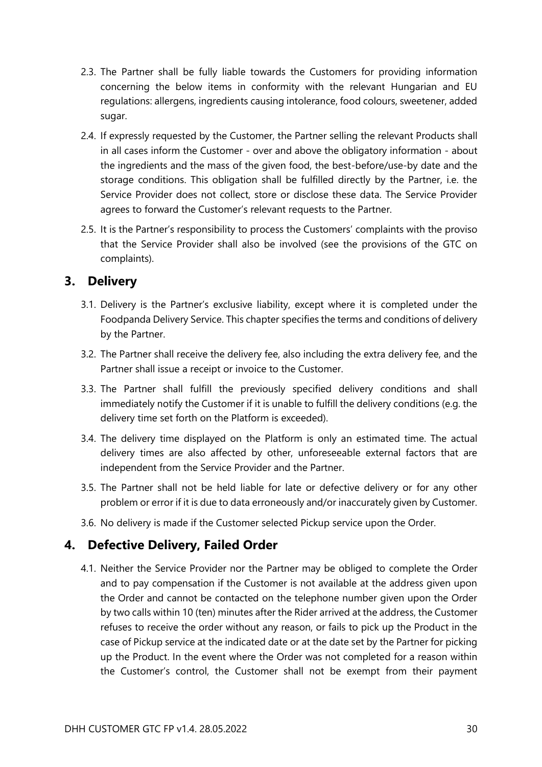- 2.3. The Partner shall be fully liable towards the Customers for providing information concerning the below items in conformity with the relevant Hungarian and EU regulations: allergens, ingredients causing intolerance, food colours, sweetener, added sugar.
- 2.4. If expressly requested by the Customer, the Partner selling the relevant Products shall in all cases inform the Customer - over and above the obligatory information - about the ingredients and the mass of the given food, the best-before/use-by date and the storage conditions. This obligation shall be fulfilled directly by the Partner, i.e. the Service Provider does not collect, store or disclose these data. The Service Provider agrees to forward the Customer's relevant requests to the Partner.
- 2.5. It is the Partner's responsibility to process the Customers' complaints with the proviso that the Service Provider shall also be involved (see the provisions of the GTC on complaints).

#### <span id="page-29-0"></span>**3. Delivery**

- 3.1. Delivery is the Partner's exclusive liability, except where it is completed under the Foodpanda Delivery Service. This chapter specifies the terms and conditions of delivery by the Partner.
- 3.2. The Partner shall receive the delivery fee, also including the extra delivery fee, and the Partner shall issue a receipt or invoice to the Customer.
- 3.3. The Partner shall fulfill the previously specified delivery conditions and shall immediately notify the Customer if it is unable to fulfill the delivery conditions (e.g. the delivery time set forth on the Platform is exceeded).
- 3.4. The delivery time displayed on the Platform is only an estimated time. The actual delivery times are also affected by other, unforeseeable external factors that are independent from the Service Provider and the Partner.
- 3.5. The Partner shall not be held liable for late or defective delivery or for any other problem or error if it is due to data erroneously and/or inaccurately given by Customer.
- 3.6. No delivery is made if the Customer selected Pickup service upon the Order.

#### <span id="page-29-1"></span>**4. Defective Delivery, Failed Order**

4.1. Neither the Service Provider nor the Partner may be obliged to complete the Order and to pay compensation if the Customer is not available at the address given upon the Order and cannot be contacted on the telephone number given upon the Order by two calls within 10 (ten) minutes after the Rider arrived at the address, the Customer refuses to receive the order without any reason, or fails to pick up the Product in the case of Pickup service at the indicated date or at the date set by the Partner for picking up the Product. In the event where the Order was not completed for a reason within the Customer's control, the Customer shall not be exempt from their payment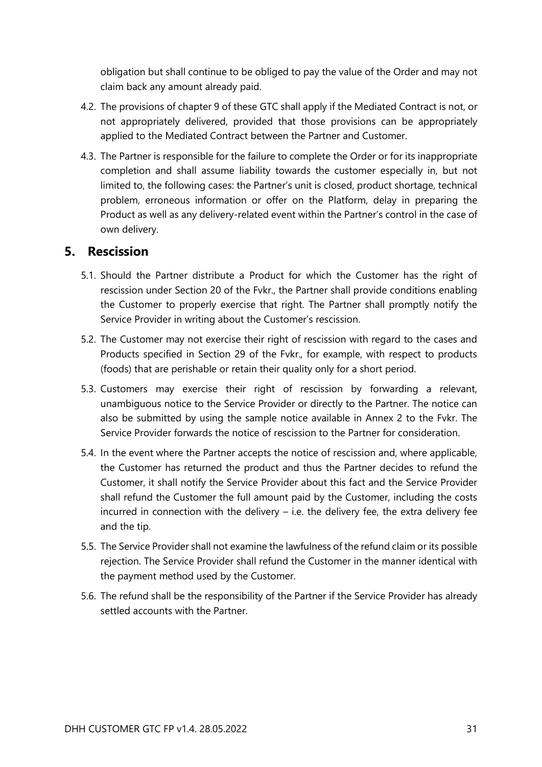obligation but shall continue to be obliged to pay the value of the Order and may not claim back any amount already paid.

- 4.2. The provisions of chapter 9 of these GTC shall apply if the Mediated Contract is not, or not appropriately delivered, provided that those provisions can be appropriately applied to the Mediated Contract between the Partner and Customer.
- 4.3. The Partner is responsible for the failure to complete the Order or for its inappropriate completion and shall assume liability towards the customer especially in, but not limited to, the following cases: the Partner's unit is closed, product shortage, technical problem, erroneous information or offer on the Platform, delay in preparing the Product as well as any delivery-related event within the Partner's control in the case of own delivery.

#### <span id="page-30-0"></span>**5. Rescission**

- 5.1. Should the Partner distribute a Product for which the Customer has the right of rescission under Section 20 of the Fvkr., the Partner shall provide conditions enabling the Customer to properly exercise that right. The Partner shall promptly notify the Service Provider in writing about the Customer's rescission.
- 5.2. The Customer may not exercise their right of rescission with regard to the cases and Products specified in Section 29 of the Fvkr., for example, with respect to products (foods) that are perishable or retain their quality only for a short period.
- 5.3. Customers may exercise their right of rescission by forwarding a relevant, unambiguous notice to the Service Provider or directly to the Partner. The notice can also be submitted by using the sample notice available in Annex 2 to the Fvkr. The Service Provider forwards the notice of rescission to the Partner for consideration.
- 5.4. In the event where the Partner accepts the notice of rescission and, where applicable, the Customer has returned the product and thus the Partner decides to refund the Customer, it shall notify the Service Provider about this fact and the Service Provider shall refund the Customer the full amount paid by the Customer, including the costs incurred in connection with the delivery  $-$  i.e. the delivery fee, the extra delivery fee and the tip.
- 5.5. The Service Provider shall not examine the lawfulness of the refund claim or its possible rejection. The Service Provider shall refund the Customer in the manner identical with the payment method used by the Customer.
- 5.6. The refund shall be the responsibility of the Partner if the Service Provider has already settled accounts with the Partner.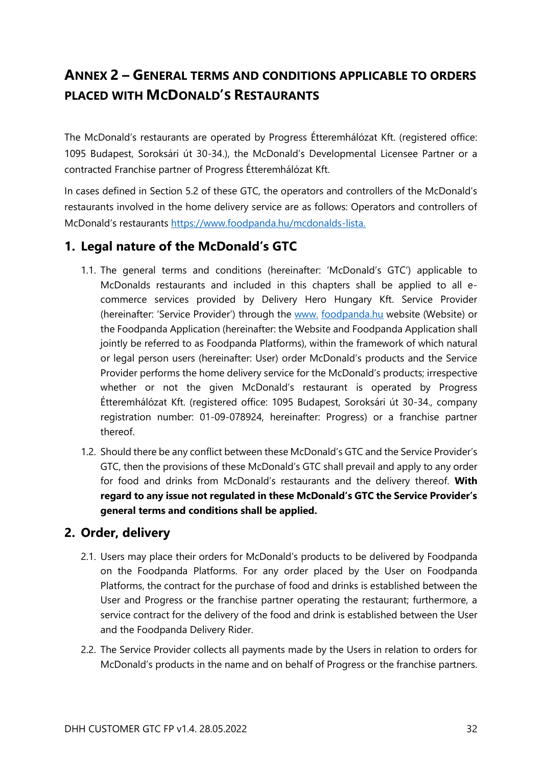# <span id="page-31-0"></span>**ANNEX 2 – GENERAL TERMS AND CONDITIONS APPLICABLE TO ORDERS PLACED WITH MCDONALD'S RESTAURANTS**

The McDonald's restaurants are operated by Progress Étteremhálózat Kft. (registered office: 1095 Budapest, Soroksári út 30-34.), the McDonald's Developmental Licensee Partner or a contracted Franchise partner of Progress Étteremhálózat Kft.

In cases defined in Section 5.2 of these GTC, the operators and controllers of the McDonald's restaurants involved in the home delivery service are as follows: Operators and controllers of McDonald's restaurants [https://www.foodpanda.hu/mcdonalds-lista.](https://www.foodpanda.hu/mcdonalds-lista)

#### <span id="page-31-1"></span>**1. Legal nature of the McDonald's GTC**

- 1.1. The general terms and conditions (hereinafter: 'McDonald's GTC') applicable to McDonalds restaurants and included in this chapters shall be applied to all ecommerce services provided by Delivery Hero Hungary Kft. Service Provider (hereinafter: 'Service Provider') through the www. [foodpanda.hu](https://www.netpincer.hu/) website (Website) or the Foodpanda Application (hereinafter: the Website and Foodpanda Application shall jointly be referred to as Foodpanda Platforms), within the framework of which natural or legal person users (hereinafter: User) order McDonald's products and the Service Provider performs the home delivery service for the McDonald's products; irrespective whether or not the given McDonald's restaurant is operated by Progress Étteremhálózat Kft. (registered office: 1095 Budapest, Soroksári út 30-34., company registration number: 01-09-078924, hereinafter: Progress) or a franchise partner thereof.
- 1.2. Should there be any conflict between these McDonald's GTC and the Service Provider's GTC, then the provisions of these McDonald's GTC shall prevail and apply to any order for food and drinks from McDonald's restaurants and the delivery thereof. **With regard to any issue not regulated in these McDonald's GTC the Service Provider's general terms and conditions shall be applied.**

#### <span id="page-31-2"></span>**2. Order, delivery**

- 2.1. Users may place their orders for McDonald's products to be delivered by Foodpanda on the Foodpanda Platforms. For any order placed by the User on Foodpanda Platforms, the contract for the purchase of food and drinks is established between the User and Progress or the franchise partner operating the restaurant; furthermore, a service contract for the delivery of the food and drink is established between the User and the Foodpanda Delivery Rider.
- 2.2. The Service Provider collects all payments made by the Users in relation to orders for McDonald's products in the name and on behalf of Progress or the franchise partners.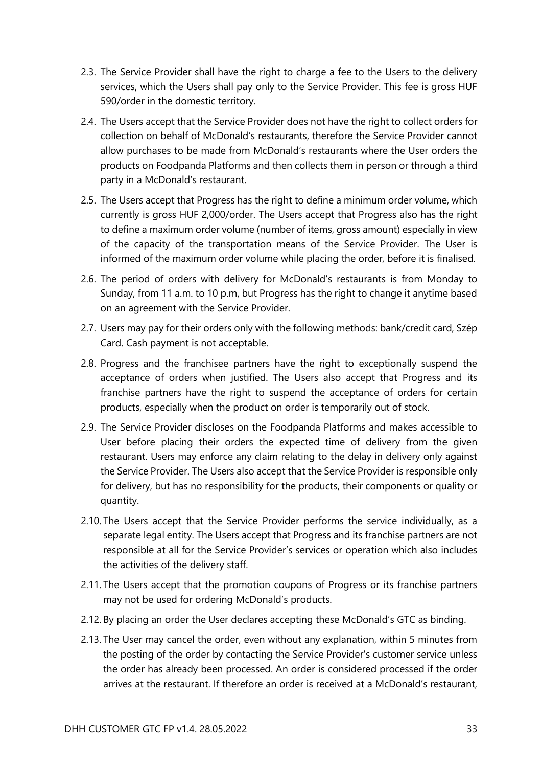- 2.3. The Service Provider shall have the right to charge a fee to the Users to the delivery services, which the Users shall pay only to the Service Provider. This fee is gross HUF 590/order in the domestic territory.
- 2.4. The Users accept that the Service Provider does not have the right to collect orders for collection on behalf of McDonald's restaurants, therefore the Service Provider cannot allow purchases to be made from McDonald's restaurants where the User orders the products on Foodpanda Platforms and then collects them in person or through a third party in a McDonald's restaurant.
- 2.5. The Users accept that Progress has the right to define a minimum order volume, which currently is gross HUF 2,000/order. The Users accept that Progress also has the right to define a maximum order volume (number of items, gross amount) especially in view of the capacity of the transportation means of the Service Provider. The User is informed of the maximum order volume while placing the order, before it is finalised.
- 2.6. The period of orders with delivery for McDonald's restaurants is from Monday to Sunday, from 11 a.m. to 10 p.m, but Progress has the right to change it anytime based on an agreement with the Service Provider.
- 2.7. Users may pay for their orders only with the following methods: bank/credit card, Szép Card. Cash payment is not acceptable.
- 2.8. Progress and the franchisee partners have the right to exceptionally suspend the acceptance of orders when justified. The Users also accept that Progress and its franchise partners have the right to suspend the acceptance of orders for certain products, especially when the product on order is temporarily out of stock.
- 2.9. The Service Provider discloses on the Foodpanda Platforms and makes accessible to User before placing their orders the expected time of delivery from the given restaurant. Users may enforce any claim relating to the delay in delivery only against the Service Provider. The Users also accept that the Service Provider is responsible only for delivery, but has no responsibility for the products, their components or quality or quantity.
- 2.10. The Users accept that the Service Provider performs the service individually, as a separate legal entity. The Users accept that Progress and its franchise partners are not responsible at all for the Service Provider's services or operation which also includes the activities of the delivery staff.
- 2.11. The Users accept that the promotion coupons of Progress or its franchise partners may not be used for ordering McDonald's products.
- 2.12. By placing an order the User declares accepting these McDonald's GTC as binding.
- 2.13. The User may cancel the order, even without any explanation, within 5 minutes from the posting of the order by contacting the Service Provider's customer service unless the order has already been processed. An order is considered processed if the order arrives at the restaurant. If therefore an order is received at a McDonald's restaurant,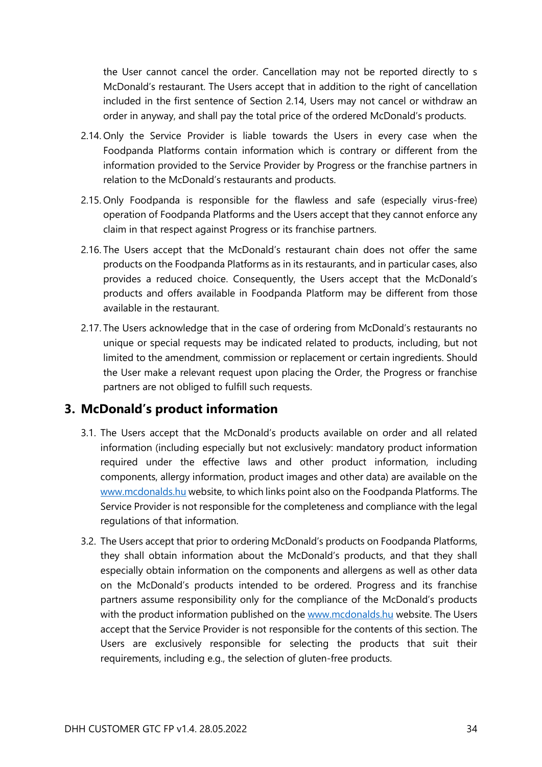the User cannot cancel the order. Cancellation may not be reported directly to s McDonald's restaurant. The Users accept that in addition to the right of cancellation included in the first sentence of Section 2.14, Users may not cancel or withdraw an order in anyway, and shall pay the total price of the ordered McDonald's products.

- 2.14. Only the Service Provider is liable towards the Users in every case when the Foodpanda Platforms contain information which is contrary or different from the information provided to the Service Provider by Progress or the franchise partners in relation to the McDonald's restaurants and products.
- 2.15. Only Foodpanda is responsible for the flawless and safe (especially virus-free) operation of Foodpanda Platforms and the Users accept that they cannot enforce any claim in that respect against Progress or its franchise partners.
- 2.16. The Users accept that the McDonald's restaurant chain does not offer the same products on the Foodpanda Platforms as in its restaurants, and in particular cases, also provides a reduced choice. Consequently, the Users accept that the McDonald's products and offers available in Foodpanda Platform may be different from those available in the restaurant.
- 2.17. The Users acknowledge that in the case of ordering from McDonald's restaurants no unique or special requests may be indicated related to products, including, but not limited to the amendment, commission or replacement or certain ingredients. Should the User make a relevant request upon placing the Order, the Progress or franchise partners are not obliged to fulfill such requests.

#### <span id="page-33-0"></span>**3. McDonald's product information**

- 3.1. The Users accept that the McDonald's products available on order and all related information (including especially but not exclusively: mandatory product information required under the effective laws and other product information, including components, allergy information, product images and other data) are available on the [www.mcdonalds.hu](http://www.mcdonalds.hu/) website, to which links point also on the Foodpanda Platforms. The Service Provider is not responsible for the completeness and compliance with the legal regulations of that information.
- 3.2. The Users accept that prior to ordering McDonald's products on Foodpanda Platforms, they shall obtain information about the McDonald's products, and that they shall especially obtain information on the components and allergens as well as other data on the McDonald's products intended to be ordered. Progress and its franchise partners assume responsibility only for the compliance of the McDonald's products with the product information published on the [www.mcdonalds.hu](http://www.mcdonalds.hu/) website. The Users accept that the Service Provider is not responsible for the contents of this section. The Users are exclusively responsible for selecting the products that suit their requirements, including e.g., the selection of gluten-free products.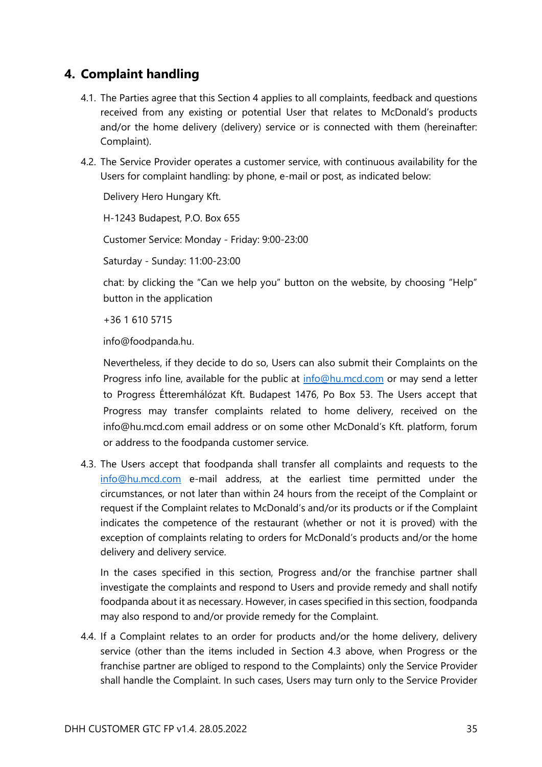#### <span id="page-34-0"></span>**4. Complaint handling**

- 4.1. The Parties agree that this Section 4 applies to all complaints, feedback and questions received from any existing or potential User that relates to McDonald's products and/or the home delivery (delivery) service or is connected with them (hereinafter: Complaint).
- 4.2. The Service Provider operates a customer service, with continuous availability for the Users for complaint handling: by phone, e-mail or post, as indicated below:

Delivery Hero Hungary Kft.

H-1243 Budapest, P.O. Box 655

Customer Service: Monday - Friday: 9:00-23:00

Saturday - Sunday: 11:00-23:00

chat: by clicking the "Can we help you" button on the website, by choosing "Help" button in the application

+36 1 610 5715

info@foodpanda.hu.

Nevertheless, if they decide to do so, Users can also submit their Complaints on the Progress info line, available for the public at [info@hu.mcd.com](mailto:info@hu.mcd.com) or may send a letter to Progress Étteremhálózat Kft. Budapest 1476, Po Box 53. The Users accept that Progress may transfer complaints related to home delivery, received on the info@hu.mcd.com email address or on some other McDonald's Kft. platform, forum or address to the foodpanda customer service.

4.3. The Users accept that foodpanda shall transfer all complaints and requests to the [info@hu.mcd.com](mailto:info@hu.mcd.com) e-mail address, at the earliest time permitted under the circumstances, or not later than within 24 hours from the receipt of the Complaint or request if the Complaint relates to McDonald's and/or its products or if the Complaint indicates the competence of the restaurant (whether or not it is proved) with the exception of complaints relating to orders for McDonald's products and/or the home delivery and delivery service.

In the cases specified in this section, Progress and/or the franchise partner shall investigate the complaints and respond to Users and provide remedy and shall notify foodpanda about it as necessary. However, in cases specified in this section, foodpanda may also respond to and/or provide remedy for the Complaint.

4.4. If a Complaint relates to an order for products and/or the home delivery, delivery service (other than the items included in Section 4.3 above, when Progress or the franchise partner are obliged to respond to the Complaints) only the Service Provider shall handle the Complaint. In such cases, Users may turn only to the Service Provider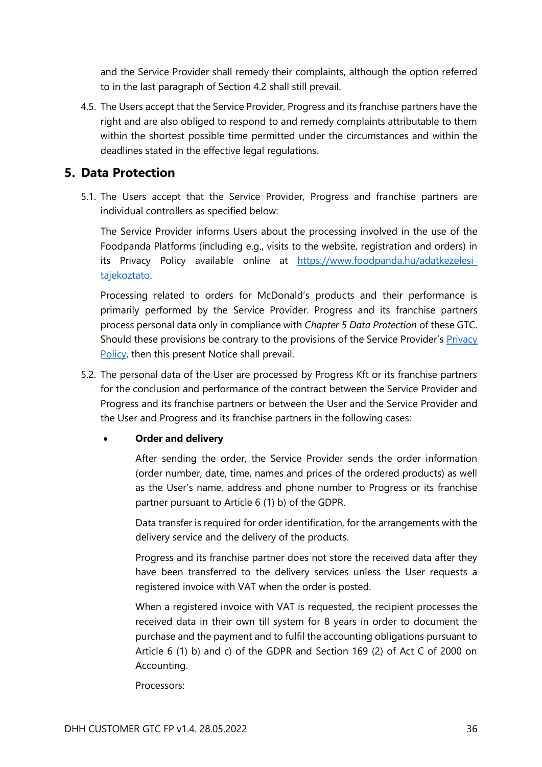and the Service Provider shall remedy their complaints, although the option referred to in the last paragraph of Section 4.2 shall still prevail.

4.5. The Users accept that the Service Provider, Progress and its franchise partners have the right and are also obliged to respond to and remedy complaints attributable to them within the shortest possible time permitted under the circumstances and within the deadlines stated in the effective legal regulations.

#### <span id="page-35-0"></span>**5. Data Protection**

5.1. The Users accept that the Service Provider, Progress and franchise partners are individual controllers as specified below:

The Service Provider informs Users about the processing involved in the use of the Foodpanda Platforms (including e.g., visits to the website, registration and orders) in its Privacy Policy available online at [https://www.foodpanda.hu/adatkezelesi](https://www.foodpanda.hu/adatkezelesi-tajekoztato)[tajekoztato.](https://www.foodpanda.hu/adatkezelesi-tajekoztato)

Processing related to orders for McDonald's products and their performance is primarily performed by the Service Provider. Progress and its franchise partners process personal data only in compliance with *Chapter 5 Data Protection* of these GTC. Should these provisions be contrary to the provisions of the Service Provider's [Privacy](https://www.netpincer.hu/adatkezelesi-tajekoztato)  [Policy,](https://www.netpincer.hu/adatkezelesi-tajekoztato) then this present Notice shall prevail.

5.2. The personal data of the User are processed by Progress Kft or its franchise partners for the conclusion and performance of the contract between the Service Provider and Progress and its franchise partners or between the User and the Service Provider and the User and Progress and its franchise partners in the following cases:

#### • **Order and delivery**

After sending the order, the Service Provider sends the order information (order number, date, time, names and prices of the ordered products) as well as the User's name, address and phone number to Progress or its franchise partner pursuant to Article 6 (1) b) of the GDPR.

Data transfer is required for order identification, for the arrangements with the delivery service and the delivery of the products.

Progress and its franchise partner does not store the received data after they have been transferred to the delivery services unless the User requests a registered invoice with VAT when the order is posted.

When a registered invoice with VAT is requested, the recipient processes the received data in their own till system for 8 years in order to document the purchase and the payment and to fulfil the accounting obligations pursuant to Article 6 (1) b) and c) of the GDPR and Section 169 (2) of Act C of 2000 on Accounting.

Processors: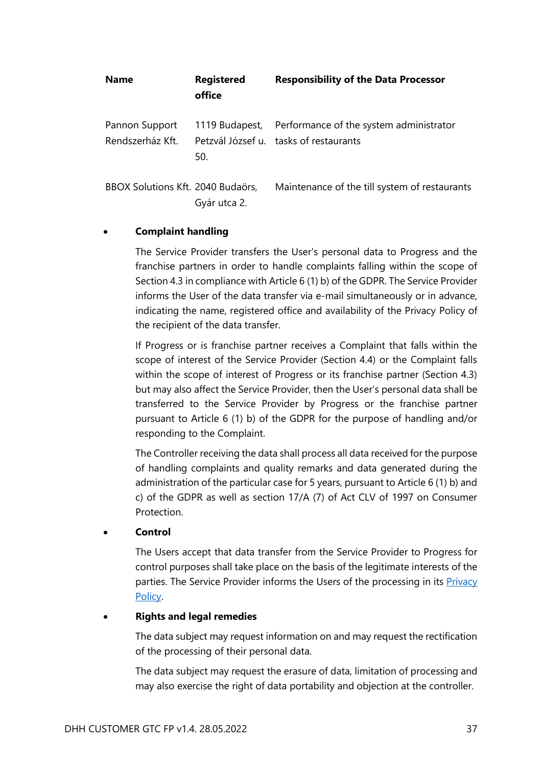| <b>Name</b>                        | <b>Registered</b><br>office | <b>Responsibility of the Data Processor</b>                                                      |
|------------------------------------|-----------------------------|--------------------------------------------------------------------------------------------------|
| Pannon Support<br>Rendszerház Kft. | 50.                         | 1119 Budapest, Performance of the system administrator<br>Petzvál József u. tasks of restaurants |
| BBOX Solutions Kft. 2040 Budaörs,  | Gyár utca 2.                | Maintenance of the till system of restaurants                                                    |

#### • **Complaint handling**

The Service Provider transfers the User's personal data to Progress and the franchise partners in order to handle complaints falling within the scope of Section 4.3 in compliance with Article 6 (1) b) of the GDPR. The Service Provider informs the User of the data transfer via e-mail simultaneously or in advance, indicating the name, registered office and availability of the Privacy Policy of the recipient of the data transfer.

If Progress or is franchise partner receives a Complaint that falls within the scope of interest of the Service Provider (Section 4.4) or the Complaint falls within the scope of interest of Progress or its franchise partner (Section 4.3) but may also affect the Service Provider, then the User's personal data shall be transferred to the Service Provider by Progress or the franchise partner pursuant to Article 6 (1) b) of the GDPR for the purpose of handling and/or responding to the Complaint.

The Controller receiving the data shall process all data received for the purpose of handling complaints and quality remarks and data generated during the administration of the particular case for 5 years, pursuant to Article 6 (1) b) and c) of the GDPR as well as section 17/A (7) of Act CLV of 1997 on Consumer **Protection** 

#### • **Control**

The Users accept that data transfer from the Service Provider to Progress for control purposes shall take place on the basis of the legitimate interests of the parties. The Service Provider informs the Users of the processing in its Privacy [Policy.](https://www.netpincer.hu/adatkezelesi-tajekoztato)

#### • **Rights and legal remedies**

The data subject may request information on and may request the rectification of the processing of their personal data.

The data subject may request the erasure of data, limitation of processing and may also exercise the right of data portability and objection at the controller.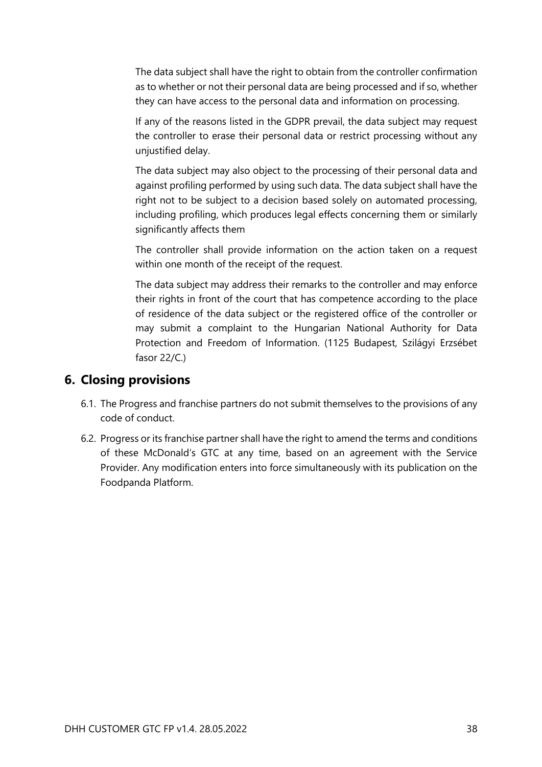The data subject shall have the right to obtain from the controller confirmation as to whether or not their personal data are being processed and if so, whether they can have access to the personal data and information on processing.

If any of the reasons listed in the GDPR prevail, the data subject may request the controller to erase their personal data or restrict processing without any unjustified delay.

The data subject may also object to the processing of their personal data and against profiling performed by using such data. The data subject shall have the right not to be subject to a decision based solely on automated processing, including profiling, which produces legal effects concerning them or similarly significantly affects them

The controller shall provide information on the action taken on a request within one month of the receipt of the request.

The data subject may address their remarks to the controller and may enforce their rights in front of the court that has competence according to the place of residence of the data subject or the registered office of the controller or may submit a complaint to the Hungarian National Authority for Data Protection and Freedom of Information. (1125 Budapest, Szilágyi Erzsébet fasor 22/C.)

#### <span id="page-37-0"></span>**6. Closing provisions**

- 6.1. The Progress and franchise partners do not submit themselves to the provisions of any code of conduct.
- 6.2. Progress or its franchise partner shall have the right to amend the terms and conditions of these McDonald's GTC at any time, based on an agreement with the Service Provider. Any modification enters into force simultaneously with its publication on the Foodpanda Platform.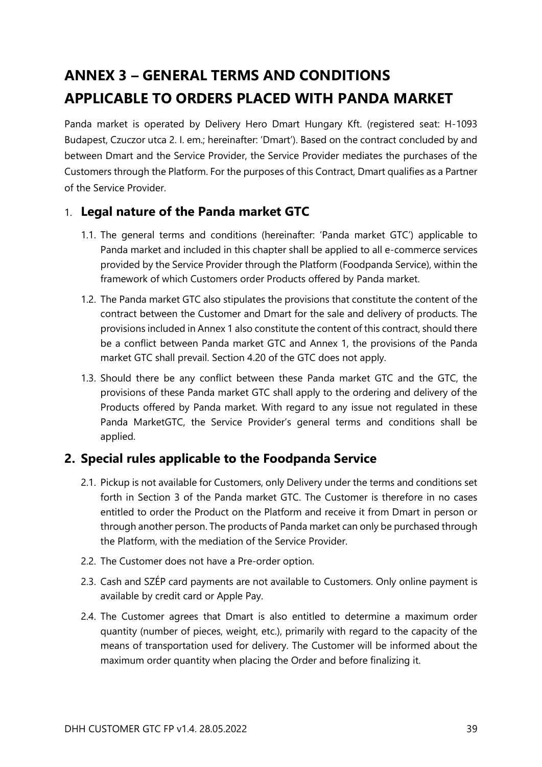# <span id="page-38-0"></span>**ANNEX 3 – GENERAL TERMS AND CONDITIONS APPLICABLE TO ORDERS PLACED WITH PANDA MARKET**

Panda market is operated by Delivery Hero Dmart Hungary Kft. (registered seat: H-1093 Budapest, Czuczor utca 2. I. em.; hereinafter: 'Dmart'). Based on the contract concluded by and between Dmart and the Service Provider, the Service Provider mediates the purchases of the Customers through the Platform. For the purposes of this Contract, Dmart qualifies as a Partner of the Service Provider.

#### <span id="page-38-1"></span>1. **Legal nature of the Panda market GTC**

- 1.1. The general terms and conditions (hereinafter: 'Panda market GTC') applicable to Panda market and included in this chapter shall be applied to all e-commerce services provided by the Service Provider through the Platform (Foodpanda Service), within the framework of which Customers order Products offered by Panda market.
- 1.2. The Panda market GTC also stipulates the provisions that constitute the content of the contract between the Customer and Dmart for the sale and delivery of products. The provisions included in Annex 1 also constitute the content of this contract, should there be a conflict between Panda market GTC and Annex 1, the provisions of the Panda market GTC shall prevail. Section 4.20 of the GTC does not apply.
- 1.3. Should there be any conflict between these Panda market GTC and the GTC, the provisions of these Panda market GTC shall apply to the ordering and delivery of the Products offered by Panda market. With regard to any issue not regulated in these Panda MarketGTC, the Service Provider's general terms and conditions shall be applied.

#### <span id="page-38-2"></span>**2. Special rules applicable to the Foodpanda Service**

- 2.1. Pickup is not available for Customers, only Delivery under the terms and conditions set forth in Section 3 of the Panda market GTC. The Customer is therefore in no cases entitled to order the Product on the Platform and receive it from Dmart in person or through another person. The products of Panda market can only be purchased through the Platform, with the mediation of the Service Provider.
- 2.2. The Customer does not have a Pre-order option.
- 2.3. Cash and SZÉP card payments are not available to Customers. Only online payment is available by credit card or Apple Pay.
- 2.4. The Customer agrees that Dmart is also entitled to determine a maximum order quantity (number of pieces, weight, etc.), primarily with regard to the capacity of the means of transportation used for delivery. The Customer will be informed about the maximum order quantity when placing the Order and before finalizing it.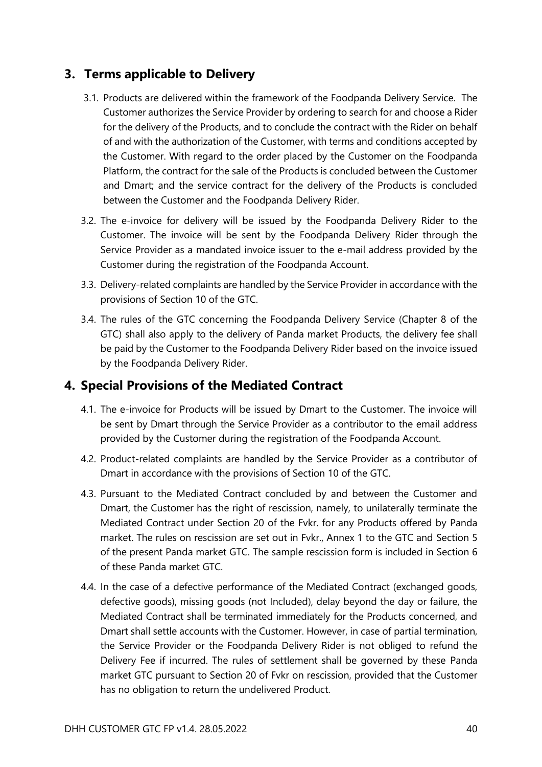#### <span id="page-39-0"></span>**3. Terms applicable to Delivery**

- 3.1. Products are delivered within the framework of the Foodpanda Delivery Service. The Customer authorizes the Service Provider by ordering to search for and choose a Rider for the delivery of the Products, and to conclude the contract with the Rider on behalf of and with the authorization of the Customer, with terms and conditions accepted by the Customer. With regard to the order placed by the Customer on the Foodpanda Platform, the contract for the sale of the Products is concluded between the Customer and Dmart; and the service contract for the delivery of the Products is concluded between the Customer and the Foodpanda Delivery Rider.
- 3.2. The e-invoice for delivery will be issued by the Foodpanda Delivery Rider to the Customer. The invoice will be sent by the Foodpanda Delivery Rider through the Service Provider as a mandated invoice issuer to the e-mail address provided by the Customer during the registration of the Foodpanda Account.
- 3.3. Delivery-related complaints are handled by the Service Provider in accordance with the provisions of Section 10 of the GTC.
- 3.4. The rules of the GTC concerning the Foodpanda Delivery Service (Chapter 8 of the GTC) shall also apply to the delivery of Panda market Products, the delivery fee shall be paid by the Customer to the Foodpanda Delivery Rider based on the invoice issued by the Foodpanda Delivery Rider.

#### <span id="page-39-1"></span>**4. Special Provisions of the Mediated Contract**

- 4.1. The e-invoice for Products will be issued by Dmart to the Customer. The invoice will be sent by Dmart through the Service Provider as a contributor to the email address provided by the Customer during the registration of the Foodpanda Account.
- 4.2. Product-related complaints are handled by the Service Provider as a contributor of Dmart in accordance with the provisions of Section 10 of the GTC.
- 4.3. Pursuant to the Mediated Contract concluded by and between the Customer and Dmart, the Customer has the right of rescission, namely, to unilaterally terminate the Mediated Contract under Section 20 of the Fvkr. for any Products offered by Panda market. The rules on rescission are set out in Fvkr., Annex 1 to the GTC and Section 5 of the present Panda market GTC. The sample rescission form is included in Section 6 of these Panda market GTC.
- 4.4. In the case of a defective performance of the Mediated Contract (exchanged goods, defective goods), missing goods (not Included), delay beyond the day or failure, the Mediated Contract shall be terminated immediately for the Products concerned, and Dmart shall settle accounts with the Customer. However, in case of partial termination, the Service Provider or the Foodpanda Delivery Rider is not obliged to refund the Delivery Fee if incurred. The rules of settlement shall be governed by these Panda market GTC pursuant to Section 20 of Fvkr on rescission, provided that the Customer has no obligation to return the undelivered Product.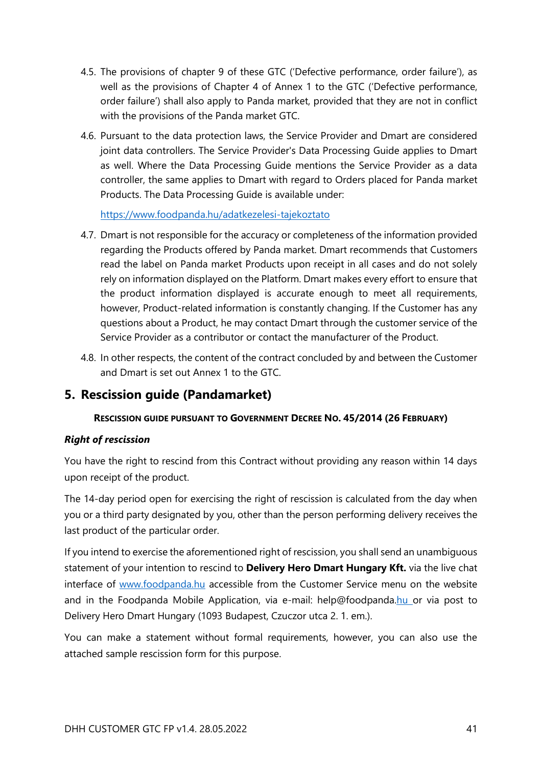- 4.5. The provisions of chapter 9 of these GTC ('Defective performance, order failure'), as well as the provisions of Chapter 4 of Annex 1 to the GTC ('Defective performance, order failure') shall also apply to Panda market, provided that they are not in conflict with the provisions of the Panda market GTC.
- 4.6. Pursuant to the data protection laws, the Service Provider and Dmart are considered joint data controllers. The Service Provider's Data Processing Guide applies to Dmart as well. Where the Data Processing Guide mentions the Service Provider as a data controller, the same applies to Dmart with regard to Orders placed for Panda market Products. The Data Processing Guide is available under:

<https://www.foodpanda.hu/adatkezelesi-tajekoztato>

- 4.7. Dmart is not responsible for the accuracy or completeness of the information provided regarding the Products offered by Panda market. Dmart recommends that Customers read the label on Panda market Products upon receipt in all cases and do not solely rely on information displayed on the Platform. Dmart makes every effort to ensure that the product information displayed is accurate enough to meet all requirements, however, Product-related information is constantly changing. If the Customer has any questions about a Product, he may contact Dmart through the customer service of the Service Provider as a contributor or contact the manufacturer of the Product.
- 4.8. In other respects, the content of the contract concluded by and between the Customer and Dmart is set out Annex 1 to the GTC.

#### <span id="page-40-0"></span>**5. Rescission guide (Pandamarket)**

#### **RESCISSION GUIDE PURSUANT TO GOVERNMENT DECREE NO. 45/2014 (26 FEBRUARY)**

#### *Right of rescission*

You have the right to rescind from this Contract without providing any reason within 14 days upon receipt of the product.

The 14-day period open for exercising the right of rescission is calculated from the day when you or a third party designated by you, other than the person performing delivery receives the last product of the particular order.

If you intend to exercise the aforementioned right of rescission, you shall send an unambiguous statement of your intention to rescind to **Delivery Hero Dmart Hungary Kft.** via the live chat interface of [www.foodpanda.hu](http://www.foodpanda.hu/) accessible from the Customer Service menu on the website and in the Foodpanda Mobile Application, via e-mail: help@foodpanda.hu or via post to Delivery Hero Dmart Hungary (1093 Budapest, Czuczor utca 2. 1. em.).

You can make a statement without formal requirements, however, you can also use the attached sample rescission form for this purpose.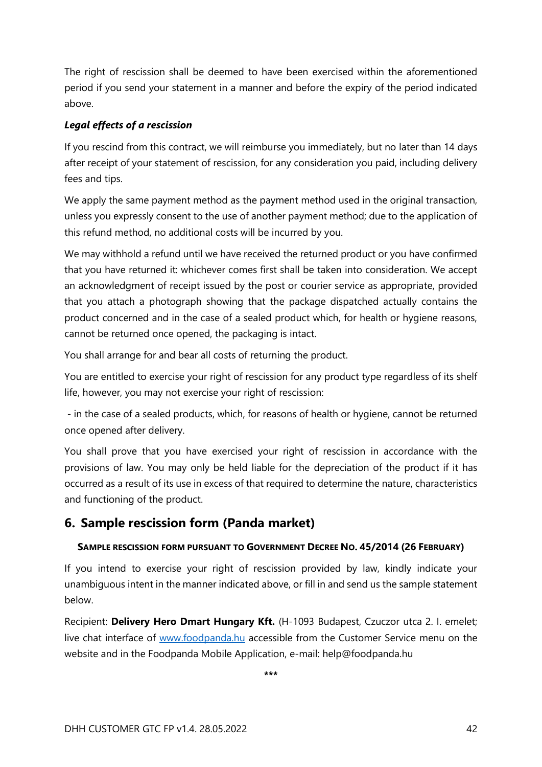The right of rescission shall be deemed to have been exercised within the aforementioned period if you send your statement in a manner and before the expiry of the period indicated above.

#### *Legal effects of a rescission*

If you rescind from this contract, we will reimburse you immediately, but no later than 14 days after receipt of your statement of rescission, for any consideration you paid, including delivery fees and tips.

We apply the same payment method as the payment method used in the original transaction, unless you expressly consent to the use of another payment method; due to the application of this refund method, no additional costs will be incurred by you.

We may withhold a refund until we have received the returned product or you have confirmed that you have returned it: whichever comes first shall be taken into consideration. We accept an acknowledgment of receipt issued by the post or courier service as appropriate, provided that you attach a photograph showing that the package dispatched actually contains the product concerned and in the case of a sealed product which, for health or hygiene reasons, cannot be returned once opened, the packaging is intact.

You shall arrange for and bear all costs of returning the product.

You are entitled to exercise your right of rescission for any product type regardless of its shelf life, however, you may not exercise your right of rescission:

- in the case of a sealed products, which, for reasons of health or hygiene, cannot be returned once opened after delivery.

You shall prove that you have exercised your right of rescission in accordance with the provisions of law. You may only be held liable for the depreciation of the product if it has occurred as a result of its use in excess of that required to determine the nature, characteristics and functioning of the product.

#### <span id="page-41-0"></span>**6. Sample rescission form (Panda market)**

#### **SAMPLE RESCISSION FORM PURSUANT TO GOVERNMENT DECREE NO. 45/2014 (26 FEBRUARY)**

If you intend to exercise your right of rescission provided by law, kindly indicate your unambiguous intent in the manner indicated above, or fill in and send us the sample statement below.

Recipient: **[Delivery Hero Dmart Hungary Kft.](https://net.jogtar.hu/jogszabaly?docid=a1400045.kor#lbj19idd595)** (H-1093 Budapest, Czuczor utca 2. I. emelet; live chat interface of [www.foodpanda.hu](http://www.foodpanda.hu/) accessible from the Customer Service menu on the website and in the Foodpanda Mobile Application, e-mail: help@foodpanda.hu

**\*\*\***